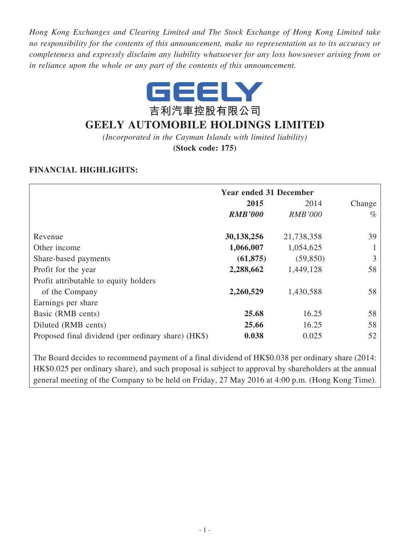*Hong Kong Exchanges and Clearing Limited and The Stock Exchange of Hong Kong Limited take no responsibility for the contents of this announcement, make no representation as to its accuracy or completeness and expressly disclaim any liability whatsoever for any loss howsoever arising from or in reliance upon the whole or any part of the contents of this announcement.*



# **GEELY AUTOMOBILE HOLDINGS LIMITED**

*(Incorporated in the Cayman Islands with limited liability)*

**(Stock code: 175)**

# **FINANCIAL HIGHLIGHTS:**

|                                                                                                                                                                                                            | <b>Year ended 31 December</b> |                |        |  |
|------------------------------------------------------------------------------------------------------------------------------------------------------------------------------------------------------------|-------------------------------|----------------|--------|--|
|                                                                                                                                                                                                            | 2015                          | 2014           | Change |  |
|                                                                                                                                                                                                            | <b>RMB'000</b>                | <b>RMB'000</b> | $\%$   |  |
| Revenue                                                                                                                                                                                                    | 30,138,256                    | 21,738,358     | 39     |  |
| Other income                                                                                                                                                                                               | 1,066,007                     | 1,054,625      |        |  |
| Share-based payments                                                                                                                                                                                       | (61, 875)                     | (59, 850)      | 3      |  |
| Profit for the year                                                                                                                                                                                        | 2,288,662                     | 1,449,128      | 58     |  |
| Profit attributable to equity holders                                                                                                                                                                      |                               |                |        |  |
| of the Company                                                                                                                                                                                             | 2,260,529                     | 1,430,588      | 58     |  |
| Earnings per share                                                                                                                                                                                         |                               |                |        |  |
| Basic (RMB cents)                                                                                                                                                                                          | 25.68                         | 16.25          | 58     |  |
| Diluted (RMB cents)                                                                                                                                                                                        | 25.66                         | 16.25          | 58     |  |
| Proposed final dividend (per ordinary share) (HK\$)                                                                                                                                                        | 0.038                         | 0.025          | 52     |  |
| The Board decides to recommend payment of a final dividend of HK\$0.038 per ordinary share (2014:<br>$HKg0.025$ per ordinary share) and such proposal is subject to approval by shareholders at the annual |                               |                |        |  |

HK\$0.025 per ordinary share), and such proposal is subject to approval by shareholders at the annual general meeting of the Company to be held on Friday, 27 May 2016 at 4:00 p.m. (Hong Kong Time).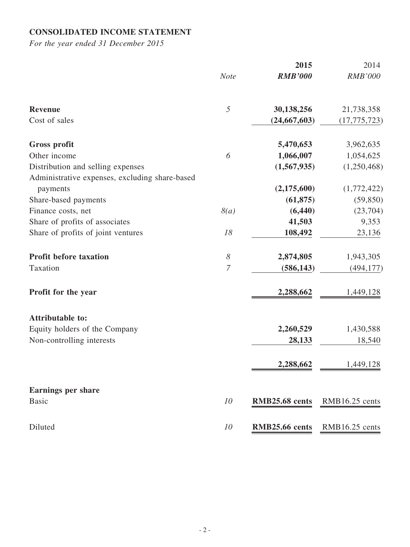# **CONSOLIDATED INCOME STATEMENT**

|                                                |                            | 2015           | 2014           |
|------------------------------------------------|----------------------------|----------------|----------------|
|                                                | <b>Note</b>                | <b>RMB'000</b> | <b>RMB'000</b> |
| <b>Revenue</b>                                 | $\sqrt{2}$                 | 30,138,256     | 21,738,358     |
| Cost of sales                                  |                            | (24, 667, 603) | (17, 775, 723) |
| <b>Gross profit</b>                            |                            | 5,470,653      | 3,962,635      |
| Other income                                   | 6                          | 1,066,007      | 1,054,625      |
| Distribution and selling expenses              |                            | (1,567,935)    | (1,250,468)    |
| Administrative expenses, excluding share-based |                            |                |                |
| payments                                       |                            | (2,175,600)    | (1,772,422)    |
| Share-based payments                           |                            | (61, 875)      | (59, 850)      |
| Finance costs, net                             | 8(a)                       | (6, 440)       | (23,704)       |
| Share of profits of associates                 |                            | 41,503         | 9,353          |
| Share of profits of joint ventures             | 18                         | 108,492        | 23,136         |
| <b>Profit before taxation</b>                  | $\boldsymbol{\mathcal{S}}$ | 2,874,805      | 1,943,305      |
| Taxation                                       | 7                          | (586, 143)     | (494, 177)     |
| Profit for the year                            |                            | 2,288,662      | 1,449,128      |
| <b>Attributable to:</b>                        |                            |                |                |
| Equity holders of the Company                  |                            | 2,260,529      | 1,430,588      |
| Non-controlling interests                      |                            | 28,133         | 18,540         |
|                                                |                            | 2,288,662      | 1,449,128      |
| <b>Earnings per share</b>                      |                            |                |                |
| <b>Basic</b>                                   | 10                         | RMB25.68 cents | RMB16.25 cents |
| Diluted                                        | 10                         | RMB25.66 cents | RMB16.25 cents |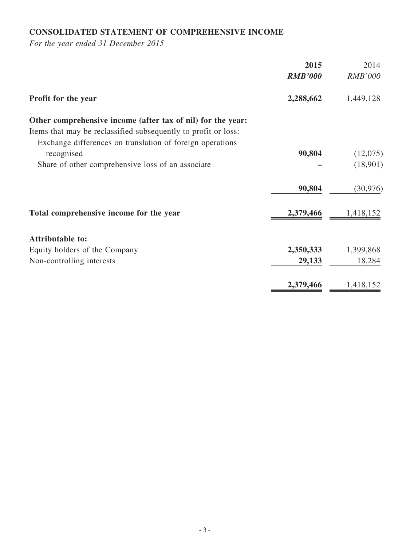# **CONSOLIDATED STATEMENT OF COMPREHENSIVE INCOME**

|                                                                | 2015           | 2014           |
|----------------------------------------------------------------|----------------|----------------|
|                                                                | <b>RMB'000</b> | <b>RMB'000</b> |
| Profit for the year                                            | 2,288,662      | 1,449,128      |
| Other comprehensive income (after tax of nil) for the year:    |                |                |
| Items that may be reclassified subsequently to profit or loss: |                |                |
| Exchange differences on translation of foreign operations      |                |                |
| recognised                                                     | 90,804         | (12,075)       |
| Share of other comprehensive loss of an associate              |                | (18,901)       |
|                                                                | 90,804         | (30, 976)      |
| Total comprehensive income for the year                        | 2,379,466      | 1,418,152      |
| <b>Attributable to:</b>                                        |                |                |
| Equity holders of the Company                                  | 2,350,333      | 1,399,868      |
| Non-controlling interests                                      | 29,133         | 18,284         |
|                                                                | 2,379,466      | 1,418,152      |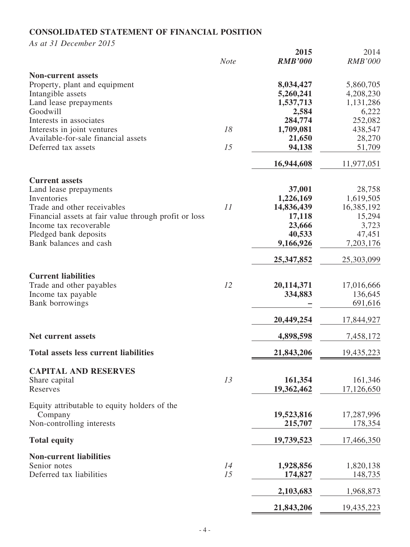# **CONSOLIDATED STATEMENT OF FINANCIAL POSITION**

*As at 31 December 2015*

|                                                       | <b>Note</b> | 2015<br><b>RMB'000</b> | 2014<br><b>RMB'000</b> |
|-------------------------------------------------------|-------------|------------------------|------------------------|
| <b>Non-current assets</b>                             |             |                        |                        |
| Property, plant and equipment                         |             | 8,034,427              | 5,860,705              |
| Intangible assets                                     |             | 5,260,241              | 4,208,230              |
| Land lease prepayments                                |             | 1,537,713              | 1,131,286              |
| Goodwill                                              |             | 2,584                  | 6,222                  |
| Interests in associates                               |             | 284,774                | 252,082                |
| Interests in joint ventures                           | 18          | 1,709,081              | 438,547                |
| Available-for-sale financial assets                   |             | 21,650                 | 28,270                 |
| Deferred tax assets                                   | 15          | 94,138                 | 51,709                 |
|                                                       |             | 16,944,608             | 11,977,051             |
| <b>Current assets</b>                                 |             |                        |                        |
| Land lease prepayments                                |             | 37,001                 | 28,758                 |
| Inventories                                           |             | 1,226,169              | 1,619,505              |
| Trade and other receivables                           | 11          | 14,836,439             | 16,385,192             |
| Financial assets at fair value through profit or loss |             | 17,118                 | 15,294                 |
| Income tax recoverable                                |             | 23,666                 | 3,723                  |
| Pledged bank deposits                                 |             | 40,533                 | 47,451                 |
| Bank balances and cash                                |             | 9,166,926              | 7,203,176              |
|                                                       |             | 25, 347, 852           | 25,303,099             |
| <b>Current liabilities</b>                            |             |                        |                        |
| Trade and other payables                              | 12          | 20,114,371             | 17,016,666             |
| Income tax payable                                    |             | 334,883                | 136,645                |
| Bank borrowings                                       |             |                        | 691,616                |
|                                                       |             | 20,449,254             | 17,844,927             |
| <b>Net current assets</b>                             |             | 4,898,598              | 7,458,172              |
| <b>Total assets less current liabilities</b>          |             | 21,843,206             | 19,435,223             |
| <b>CAPITAL AND RESERVES</b>                           |             |                        |                        |
| Share capital                                         | 13          | 161,354                | 161,346                |
| Reserves                                              |             | 19,362,462             | 17,126,650             |
| Equity attributable to equity holders of the          |             |                        |                        |
| Company                                               |             | 19,523,816             | 17,287,996             |
| Non-controlling interests                             |             | 215,707                | 178,354                |
| <b>Total equity</b>                                   |             | 19,739,523             | 17,466,350             |
| <b>Non-current liabilities</b>                        |             |                        |                        |
| Senior notes                                          | 14          | 1,928,856              | 1,820,138              |
| Deferred tax liabilities                              | 15          | 174,827                | 148,735                |
|                                                       |             | 2,103,683              | 1,968,873              |
|                                                       |             | 21,843,206             | 19,435,223             |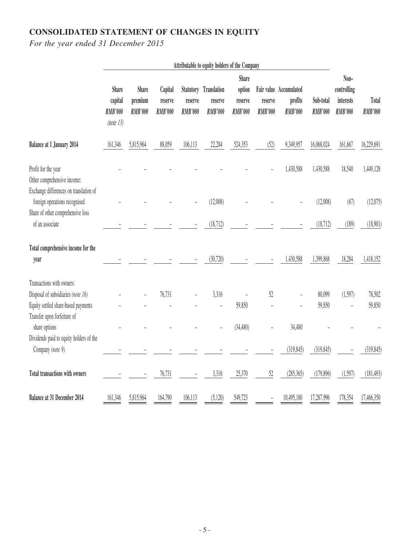# **CONSOLIDATED STATEMENT OF CHANGES IN EQUITY**

|                                                                                                        | Attributable to equity holders of the Company          |                                           |                                      |                                               |                                          |                                                     |                           |                                                     |                             |                                                    |                         |
|--------------------------------------------------------------------------------------------------------|--------------------------------------------------------|-------------------------------------------|--------------------------------------|-----------------------------------------------|------------------------------------------|-----------------------------------------------------|---------------------------|-----------------------------------------------------|-----------------------------|----------------------------------------------------|-------------------------|
|                                                                                                        | <b>Share</b><br>capital<br><b>RMB'000</b><br>(note 13) | <b>Share</b><br>premium<br><b>RMB'000</b> | Capital<br>reserve<br><b>RMB'000</b> | <b>Statutory</b><br>reserve<br><b>RMB'000</b> | Translation<br>reserve<br><b>RMB'000</b> | <b>Share</b><br>option<br>reserve<br><b>RMB'000</b> | reserve<br><b>RMB'000</b> | Fair value Accumulated<br>profits<br><b>RMB'000</b> | Sub-total<br><b>RMB'000</b> | Non-<br>controlling<br>interests<br><b>RMB'000</b> | Total<br><b>RMB'000</b> |
| <b>Balance at 1 January 2014</b>                                                                       | 161,346                                                | 5,815,964                                 | 88,059                               | 106,113                                       | 22,284                                   | 524,353                                             | (52)                      | 9,349,957                                           | 16,068,024                  | 161,667                                            | 16,229,691              |
| Profit for the year<br>Other comprehensive income:<br>Exchange differences on translation of           |                                                        |                                           |                                      |                                               |                                          |                                                     |                           | 1,430,588                                           | 1,430,588                   | 18,540                                             | 1,449,128               |
| foreign operations recognised                                                                          |                                                        |                                           |                                      |                                               | (12,008)                                 |                                                     |                           |                                                     | (12,008)                    | (67)                                               | (12,075)                |
| Share of other comprehensive loss<br>of an associate                                                   |                                                        |                                           |                                      |                                               | (18, 712)                                |                                                     |                           |                                                     | (18, 712)                   | (189)                                              | (18,901)                |
| Total comprehensive income for the<br>year                                                             |                                                        |                                           |                                      |                                               | (30, 720)                                |                                                     |                           | 1,430,588                                           | 1,399,868                   | 18,284                                             | 1,418,152               |
| Transactions with owners:<br>Disposal of subsidiaries (note 16)<br>Equity settled share-based payments |                                                        |                                           | 76,731                               |                                               | 3,316                                    | 59,850                                              | 52                        |                                                     | 80,099<br>59,850            | (1,597)                                            | 78,502<br>59,850        |
| Transfer upon forfeiture of<br>share options<br>Dividends paid to equity holders of the                |                                                        |                                           |                                      |                                               |                                          | (34, 480)                                           |                           | 34,480                                              |                             |                                                    |                         |
| Company (note 9)                                                                                       |                                                        |                                           |                                      |                                               |                                          |                                                     |                           | (319, 845)                                          | (319, 845)                  |                                                    | (319, 845)              |
| Total transactions with owners                                                                         |                                                        |                                           | 76,731                               |                                               | 3,316                                    | 25,370                                              | 52                        | (285, 365)                                          | (179, 896)                  | (1, 597)                                           | (181, 493)              |
| Balance at 31 December 2014                                                                            | 161,346                                                | 5,815,964                                 | 164,790                              | 106,113                                       | (5, 120)                                 | 549,723                                             |                           | 10,495,180                                          | 17,287,996                  | 178,354                                            | 17,466,350              |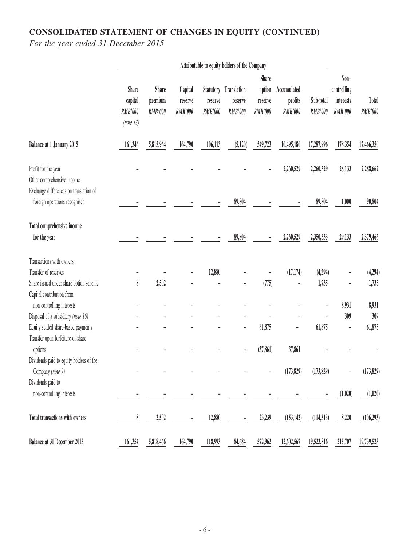# **CONSOLIDATED STATEMENT OF CHANGES IN EQUITY (CONTINUED)**

|                                                                                              | Attributable to equity holders of the Company          |                                           |                                      |                                               |                                                 |                                                     |                                          |                             |                                                    |                         |
|----------------------------------------------------------------------------------------------|--------------------------------------------------------|-------------------------------------------|--------------------------------------|-----------------------------------------------|-------------------------------------------------|-----------------------------------------------------|------------------------------------------|-----------------------------|----------------------------------------------------|-------------------------|
|                                                                                              | <b>Share</b><br>capital<br><b>RMB'000</b><br>(note 13) | <b>Share</b><br>premium<br><b>RMB'000</b> | Capital<br>reserve<br><b>RMB'000</b> | <b>Statutory</b><br>reserve<br><b>RMB'000</b> | <b>Translation</b><br>reserve<br><b>RMB'000</b> | <b>Share</b><br>option<br>reserve<br><b>RMB'000</b> | Accumulated<br>profits<br><b>RMB'000</b> | Sub-total<br><b>RMB'000</b> | Non-<br>controlling<br>interests<br><b>RMB'000</b> | Total<br><b>RMB'000</b> |
| <b>Balance at 1 January 2015</b>                                                             | 161,346                                                | 5,815,964                                 | 164,790                              | 106,113                                       | (5, 120)                                        | 549,723                                             | 10,495,180                               | 17,287,996                  | 178,354                                            | 17,466,350              |
| Profit for the year<br>Other comprehensive income:<br>Exchange differences on translation of |                                                        |                                           |                                      |                                               |                                                 |                                                     | 2,260,529                                | 2,260,529                   | 28,133                                             | 2,288,662               |
| foreign operations recognised                                                                |                                                        |                                           |                                      |                                               | 89,804                                          |                                                     |                                          | 89,804                      | 1,000                                              | 90,804                  |
| Total comprehensive income<br>for the year                                                   |                                                        |                                           |                                      |                                               | 89,804                                          |                                                     | 2,260,529                                | 2,350,333                   | 29,133                                             | 2,379,466               |
| Transactions with owners:                                                                    |                                                        |                                           |                                      |                                               |                                                 |                                                     |                                          |                             |                                                    |                         |
| Transfer of reserves                                                                         |                                                        |                                           |                                      | 12,880                                        |                                                 |                                                     | (17, 174)                                | (4,294)                     |                                                    | (4,294)                 |
| Share issued under share option scheme                                                       | 8                                                      | 2,502                                     |                                      |                                               |                                                 | (775)                                               |                                          | 1,735                       |                                                    | 1,735                   |
| Capital contribution from                                                                    |                                                        |                                           |                                      |                                               |                                                 |                                                     |                                          |                             |                                                    |                         |
| non-controlling interests                                                                    |                                                        |                                           |                                      |                                               |                                                 |                                                     |                                          |                             | 8,931                                              | 8,931                   |
| Disposal of a subsidiary (note 16)                                                           |                                                        |                                           |                                      |                                               |                                                 |                                                     |                                          |                             | 309                                                | 309                     |
| Equity settled share-based payments                                                          |                                                        |                                           |                                      |                                               | -                                               | 61,875                                              |                                          | 61,875                      | $\overline{a}$                                     | 61,875                  |
| Transfer upon forfeiture of share                                                            |                                                        |                                           |                                      |                                               |                                                 |                                                     |                                          |                             |                                                    |                         |
| options                                                                                      |                                                        |                                           |                                      |                                               |                                                 | (37, 861)                                           | 37,861                                   |                             |                                                    |                         |
| Dividends paid to equity holders of the<br>Company (note 9)                                  |                                                        |                                           |                                      |                                               |                                                 |                                                     | (173, 829)                               | (173, 829)                  |                                                    | (173, 829)              |
| Dividends paid to                                                                            |                                                        |                                           |                                      |                                               |                                                 |                                                     |                                          |                             |                                                    |                         |
| non-controlling interests                                                                    |                                                        |                                           |                                      |                                               |                                                 |                                                     |                                          |                             | (1,020)                                            | (1,020)                 |
| Total transactions with owners                                                               | 8                                                      | 2,502                                     |                                      | 12,880                                        |                                                 | 23,239                                              | (153, 142)                               | (114, 513)                  | 8,220                                              | (106, 293)              |
| Balance at 31 December 2015                                                                  | 161,354                                                | 5,818,466                                 | 164,790                              | 118,993                                       | 84,684                                          | 572,962                                             | 12,602,567                               | 19,523,816                  | 215,707                                            | 19,739,523              |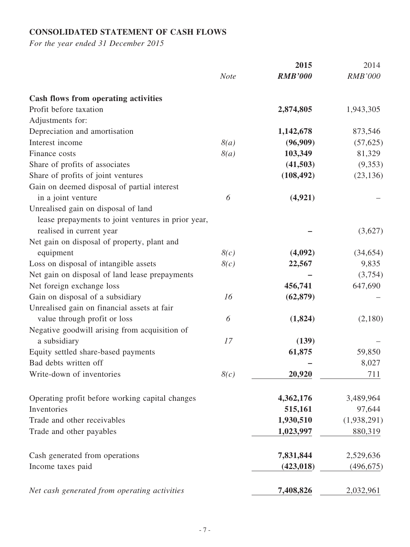# **CONSOLIDATED STATEMENT OF CASH FLOWS**

|                                                    |             | 2015           | 2014           |
|----------------------------------------------------|-------------|----------------|----------------|
|                                                    | <b>Note</b> | <b>RMB'000</b> | <b>RMB'000</b> |
| <b>Cash flows from operating activities</b>        |             |                |                |
| Profit before taxation                             |             | 2,874,805      | 1,943,305      |
| Adjustments for:                                   |             |                |                |
| Depreciation and amortisation                      |             | 1,142,678      | 873,546        |
| Interest income                                    | 8(a)        | (96,909)       | (57, 625)      |
| Finance costs                                      | 8(a)        | 103,349        | 81,329         |
| Share of profits of associates                     |             | (41,503)       | (9,353)        |
| Share of profits of joint ventures                 |             | (108, 492)     | (23, 136)      |
| Gain on deemed disposal of partial interest        |             |                |                |
| in a joint venture                                 | 6           | (4, 921)       |                |
| Unrealised gain on disposal of land                |             |                |                |
| lease prepayments to joint ventures in prior year, |             |                |                |
| realised in current year                           |             |                | (3,627)        |
| Net gain on disposal of property, plant and        |             |                |                |
| equipment                                          | 8(c)        | (4,092)        | (34, 654)      |
| Loss on disposal of intangible assets              | 8(c)        | 22,567         | 9,835          |
| Net gain on disposal of land lease prepayments     |             |                | (3,754)        |
| Net foreign exchange loss                          |             | 456,741        | 647,690        |
| Gain on disposal of a subsidiary                   | 16          | (62, 879)      |                |
| Unrealised gain on financial assets at fair        |             |                |                |
| value through profit or loss                       | 6           | (1, 824)       | (2,180)        |
| Negative goodwill arising from acquisition of      |             |                |                |
| a subsidiary                                       | 17          | (139)          |                |
| Equity settled share-based payments                |             | 61,875         | 59,850         |
| Bad debts written off                              |             |                | 8,027          |
| Write-down of inventories                          | 8(c)        | 20,920         | 711            |
| Operating profit before working capital changes    |             | 4,362,176      | 3,489,964      |
| Inventories                                        |             | 515,161        | 97,644         |
| Trade and other receivables                        |             | 1,930,510      | (1,938,291)    |
| Trade and other payables                           |             | 1,023,997      | 880,319        |
|                                                    |             |                |                |
| Cash generated from operations                     |             | 7,831,844      | 2,529,636      |
| Income taxes paid                                  |             | (423, 018)     | (496, 675)     |
| Net cash generated from operating activities       |             | 7,408,826      | 2,032,961      |
|                                                    |             |                |                |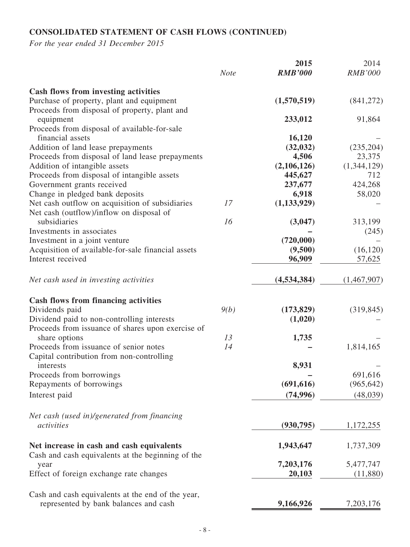# **CONSOLIDATED STATEMENT OF CASH FLOWS (CONTINUED)**

|                                                    | <b>Note</b> | 2015<br><b>RMB'000</b> | 2014<br><b>RMB'000</b> |
|----------------------------------------------------|-------------|------------------------|------------------------|
| <b>Cash flows from investing activities</b>        |             |                        |                        |
| Purchase of property, plant and equipment          |             | (1,570,519)            | (841,272)              |
| Proceeds from disposal of property, plant and      |             |                        |                        |
| equipment                                          |             | 233,012                | 91,864                 |
| Proceeds from disposal of available-for-sale       |             |                        |                        |
| financial assets                                   |             | 16,120                 |                        |
| Addition of land lease prepayments                 |             | (32, 032)              | (235,204)              |
| Proceeds from disposal of land lease prepayments   |             | 4,506                  | 23,375                 |
| Addition of intangible assets                      |             | (2,106,126)            | (1,344,129)            |
| Proceeds from disposal of intangible assets        |             | 445,627                | 712                    |
| Government grants received                         |             | 237,677                | 424,268                |
| Change in pledged bank deposits                    |             | 6,918                  | 58,020                 |
| Net cash outflow on acquisition of subsidiaries    | 17          | (1, 133, 929)          |                        |
| Net cash (outflow)/inflow on disposal of           |             |                        |                        |
| subsidiaries                                       | 16          | (3,047)                | 313,199                |
| Investments in associates                          |             |                        | (245)                  |
| Investment in a joint venture                      |             | (720,000)              |                        |
| Acquisition of available-for-sale financial assets |             | (9,500)                | (16, 120)              |
| Interest received                                  |             | 96,909                 | 57,625                 |
| Net cash used in investing activities              |             | (4, 534, 384)          | (1,467,907)            |
| <b>Cash flows from financing activities</b>        |             |                        |                        |
| Dividends paid                                     | 9(b)        | (173, 829)             | (319, 845)             |
| Dividend paid to non-controlling interests         |             | (1,020)                |                        |
| Proceeds from issuance of shares upon exercise of  |             |                        |                        |
| share options                                      | 13          | 1,735                  |                        |
| Proceeds from issuance of senior notes             | 14          |                        | 1,814,165              |
| Capital contribution from non-controlling          |             |                        |                        |
| interests                                          |             | 8,931                  |                        |
| Proceeds from borrowings                           |             |                        | 691,616                |
| Repayments of borrowings                           |             | (691, 616)             | (965, 642)             |
| Interest paid                                      |             | (74, 996)              | (48,039)               |
| Net cash (used in)/generated from financing        |             |                        |                        |
| activities                                         |             | (930, 795)             | 1,172,255              |
| Net increase in cash and cash equivalents          |             | 1,943,647              | 1,737,309              |
| Cash and cash equivalents at the beginning of the  |             |                        |                        |
| year                                               |             | 7,203,176              | 5,477,747              |
| Effect of foreign exchange rate changes            |             | 20,103                 | (11,880)               |
| Cash and cash equivalents at the end of the year,  |             |                        |                        |
| represented by bank balances and cash              |             | 9,166,926              | 7,203,176              |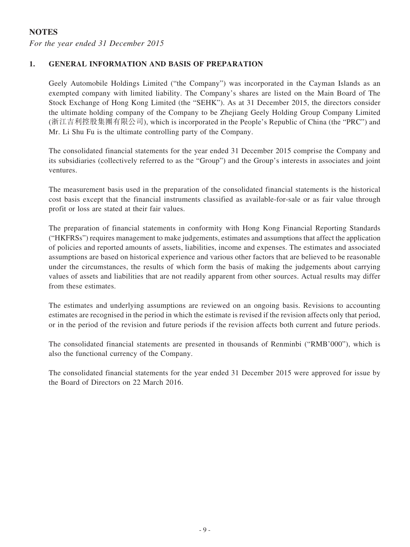# **NOTES**

*For the year ended 31 December 2015*

## **1. GENERAL INFORMATION AND BASIS OF PREPARATION**

Geely Automobile Holdings Limited ("the Company") was incorporated in the Cayman Islands as an exempted company with limited liability. The Company's shares are listed on the Main Board of The Stock Exchange of Hong Kong Limited (the "SEHK"). As at 31 December 2015, the directors consider the ultimate holding company of the Company to be Zhejiang Geely Holding Group Company Limited (浙江吉利控股集團有限公司), which is incorporated in the People's Republic of China (the "PRC") and Mr. Li Shu Fu is the ultimate controlling party of the Company.

The consolidated financial statements for the year ended 31 December 2015 comprise the Company and its subsidiaries (collectively referred to as the "Group") and the Group's interests in associates and joint ventures.

The measurement basis used in the preparation of the consolidated financial statements is the historical cost basis except that the financial instruments classified as available-for-sale or as fair value through profit or loss are stated at their fair values.

The preparation of financial statements in conformity with Hong Kong Financial Reporting Standards ("HKFRSs") requires management to make judgements, estimates and assumptions that affect the application of policies and reported amounts of assets, liabilities, income and expenses. The estimates and associated assumptions are based on historical experience and various other factors that are believed to be reasonable under the circumstances, the results of which form the basis of making the judgements about carrying values of assets and liabilities that are not readily apparent from other sources. Actual results may differ from these estimates.

The estimates and underlying assumptions are reviewed on an ongoing basis. Revisions to accounting estimates are recognised in the period in which the estimate is revised if the revision affects only that period, or in the period of the revision and future periods if the revision affects both current and future periods.

The consolidated financial statements are presented in thousands of Renminbi ("RMB'000"), which is also the functional currency of the Company.

The consolidated financial statements for the year ended 31 December 2015 were approved for issue by the Board of Directors on 22 March 2016.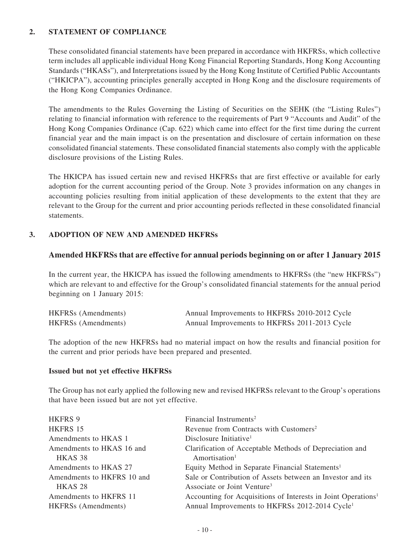## **2. STATEMENT OF COMPLIANCE**

These consolidated financial statements have been prepared in accordance with HKFRSs, which collective term includes all applicable individual Hong Kong Financial Reporting Standards, Hong Kong Accounting Standards ("HKASs"), and Interpretations issued by the Hong Kong Institute of Certified Public Accountants ("HKICPA"), accounting principles generally accepted in Hong Kong and the disclosure requirements of the Hong Kong Companies Ordinance.

The amendments to the Rules Governing the Listing of Securities on the SEHK (the "Listing Rules") relating to financial information with reference to the requirements of Part 9 "Accounts and Audit" of the Hong Kong Companies Ordinance (Cap. 622) which came into effect for the first time during the current financial year and the main impact is on the presentation and disclosure of certain information on these consolidated financial statements. These consolidated financial statements also comply with the applicable disclosure provisions of the Listing Rules.

The HKICPA has issued certain new and revised HKFRSs that are first effective or available for early adoption for the current accounting period of the Group. Note 3 provides information on any changes in accounting policies resulting from initial application of these developments to the extent that they are relevant to the Group for the current and prior accounting periods reflected in these consolidated financial statements.

## **3. ADOPTION OF NEW AND AMENDED HKFRSs**

### **Amended HKFRSs that are effective for annual periods beginning on or after 1 January 2015**

In the current year, the HKICPA has issued the following amendments to HKFRSs (the "new HKFRSs") which are relevant to and effective for the Group's consolidated financial statements for the annual period beginning on 1 January 2015:

| <b>HKFRSs</b> (Amendments) | Annual Improvements to HKFRSs 2010-2012 Cycle |  |
|----------------------------|-----------------------------------------------|--|
| <b>HKFRSs</b> (Amendments) | Annual Improvements to HKFRSs 2011-2013 Cycle |  |

The adoption of the new HKFRSs had no material impact on how the results and financial position for the current and prior periods have been prepared and presented.

#### **Issued but not yet effective HKFRSs**

The Group has not early applied the following new and revised HKFRSs relevant to the Group's operations that have been issued but are not yet effective.

| Financial Instruments <sup>2</sup>                                        |
|---------------------------------------------------------------------------|
| Revenue from Contracts with Customers <sup>2</sup>                        |
| Disclosure Initiative <sup>1</sup>                                        |
| Clarification of Acceptable Methods of Depreciation and                   |
| Amortisation <sup>1</sup>                                                 |
| Equity Method in Separate Financial Statements <sup>1</sup>               |
| Sale or Contribution of Assets between an Investor and its                |
| Associate or Joint Venture <sup>3</sup>                                   |
| Accounting for Acquisitions of Interests in Joint Operations <sup>1</sup> |
| Annual Improvements to HKFRSs 2012-2014 Cycle <sup>1</sup>                |
|                                                                           |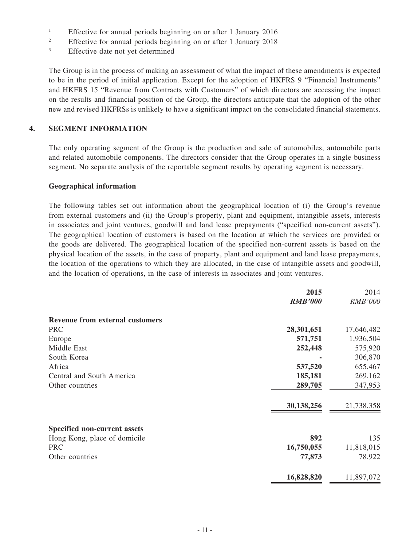- <sup>1</sup> Effective for annual periods beginning on or after 1 January 2016
- <sup>2</sup> Effective for annual periods beginning on or after 1 January 2018
- <sup>3</sup> Effective date not yet determined

The Group is in the process of making an assessment of what the impact of these amendments is expected to be in the period of initial application. Except for the adoption of HKFRS 9 "Financial Instruments" and HKFRS 15 "Revenue from Contracts with Customers" of which directors are accessing the impact on the results and financial position of the Group, the directors anticipate that the adoption of the other new and revised HKFRSs is unlikely to have a significant impact on the consolidated financial statements.

#### **4. SEGMENT INFORMATION**

The only operating segment of the Group is the production and sale of automobiles, automobile parts and related automobile components. The directors consider that the Group operates in a single business segment. No separate analysis of the reportable segment results by operating segment is necessary.

#### **Geographical information**

The following tables set out information about the geographical location of (i) the Group's revenue from external customers and (ii) the Group's property, plant and equipment, intangible assets, interests in associates and joint ventures, goodwill and land lease prepayments ("specified non-current assets"). The geographical location of customers is based on the location at which the services are provided or the goods are delivered. The geographical location of the specified non-current assets is based on the physical location of the assets, in the case of property, plant and equipment and land lease prepayments, the location of the operations to which they are allocated, in the case of intangible assets and goodwill, and the location of operations, in the case of interests in associates and joint ventures.

|                                        | 2015<br><b>RMB'000</b> | 2014<br><b>RMB'000</b> |
|----------------------------------------|------------------------|------------------------|
|                                        |                        |                        |
| <b>Revenue from external customers</b> |                        |                        |
| <b>PRC</b>                             | 28,301,651             | 17,646,482             |
| Europe                                 | 571,751                | 1,936,504              |
| Middle East                            | 252,448                | 575,920                |
| South Korea                            |                        | 306,870                |
| Africa                                 | 537,520                | 655,467                |
| Central and South America              | 185,181                | 269,162                |
| Other countries                        | 289,705                | 347,953                |
|                                        | 30,138,256             | 21,738,358             |
| Specified non-current assets           |                        |                        |
| Hong Kong, place of domicile           | 892                    | 135                    |
| <b>PRC</b>                             | 16,750,055             | 11,818,015             |
| Other countries                        | 77,873                 | 78,922                 |
|                                        | 16,828,820             | 11,897,072             |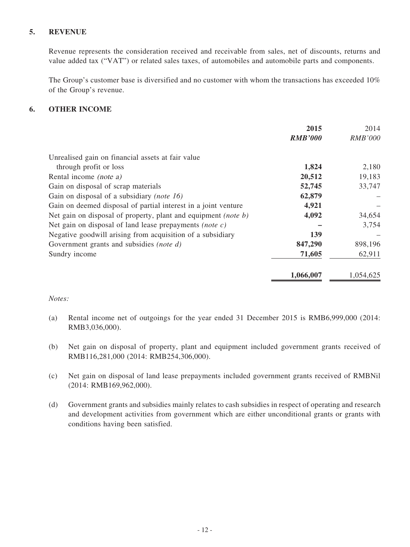### **5. REVENUE**

Revenue represents the consideration received and receivable from sales, net of discounts, returns and value added tax ("VAT") or related sales taxes, of automobiles and automobile parts and components.

The Group's customer base is diversified and no customer with whom the transactions has exceeded 10% of the Group's revenue.

### **6. OTHER INCOME**

|                                                                | 2015           | 2014           |
|----------------------------------------------------------------|----------------|----------------|
|                                                                | <b>RMB'000</b> | <b>RMB'000</b> |
| Unrealised gain on financial assets at fair value              |                |                |
| through profit or loss                                         | 1,824          | 2,180          |
| Rental income <i>(note a)</i>                                  | 20,512         | 19,183         |
| Gain on disposal of scrap materials                            | 52,745         | 33,747         |
| Gain on disposal of a subsidiary (note 16)                     | 62,879         |                |
| Gain on deemed disposal of partial interest in a joint venture | 4,921          |                |
| Net gain on disposal of property, plant and equipment (note b) | 4,092          | 34,654         |
| Net gain on disposal of land lease prepayments (note $c$ )     |                | 3,754          |
| Negative goodwill arising from acquisition of a subsidiary     | 139            |                |
| Government grants and subsidies (note d)                       | 847,290        | 898,196        |
| Sundry income                                                  | 71,605         | 62,911         |
|                                                                | 1,066,007      | 1.054.625      |

### *Notes:*

- (a) Rental income net of outgoings for the year ended 31 December 2015 is RMB6,999,000 (2014: RMB3,036,000).
- (b) Net gain on disposal of property, plant and equipment included government grants received of RMB116,281,000 (2014: RMB254,306,000).
- (c) Net gain on disposal of land lease prepayments included government grants received of RMBNil (2014: RMB169,962,000).
- (d) Government grants and subsidies mainly relates to cash subsidies in respect of operating and research and development activities from government which are either unconditional grants or grants with conditions having been satisfied.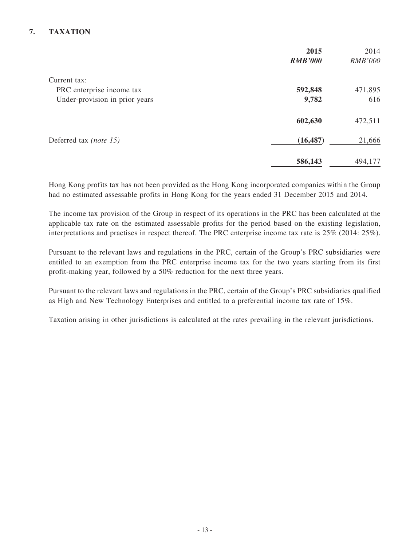# **7. TAXATION**

|                                | 2015<br><b>RMB'000</b> | 2014<br><b>RMB'000</b> |
|--------------------------------|------------------------|------------------------|
| Current tax:                   |                        |                        |
| PRC enterprise income tax      | 592,848                | 471,895                |
| Under-provision in prior years | 9,782                  | 616                    |
|                                | 602,630                | 472,511                |
| Deferred tax (note 15)         | (16, 487)              | 21,666                 |
|                                | 586,143                | 494,177                |

Hong Kong profits tax has not been provided as the Hong Kong incorporated companies within the Group had no estimated assessable profits in Hong Kong for the years ended 31 December 2015 and 2014.

The income tax provision of the Group in respect of its operations in the PRC has been calculated at the applicable tax rate on the estimated assessable profits for the period based on the existing legislation, interpretations and practises in respect thereof. The PRC enterprise income tax rate is 25% (2014: 25%).

Pursuant to the relevant laws and regulations in the PRC, certain of the Group's PRC subsidiaries were entitled to an exemption from the PRC enterprise income tax for the two years starting from its first profit-making year, followed by a 50% reduction for the next three years.

Pursuant to the relevant laws and regulations in the PRC, certain of the Group's PRC subsidiaries qualified as High and New Technology Enterprises and entitled to a preferential income tax rate of 15%.

Taxation arising in other jurisdictions is calculated at the rates prevailing in the relevant jurisdictions.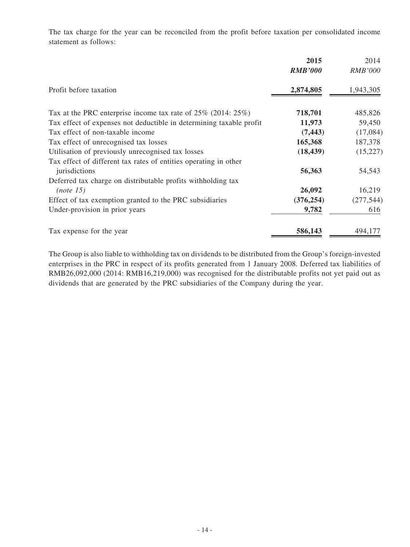The tax charge for the year can be reconciled from the profit before taxation per consolidated income statement as follows:

|                                                                     | 2015<br><b>RMB'000</b> | 2014<br><b>RMB'000</b> |
|---------------------------------------------------------------------|------------------------|------------------------|
| Profit before taxation                                              | 2,874,805              | 1,943,305              |
| Tax at the PRC enterprise income tax rate of $25\%$ (2014: $25\%$ ) | 718,701                | 485,826                |
| Tax effect of expenses not deductible in determining taxable profit | 11,973                 | 59,450                 |
| Tax effect of non-taxable income                                    | (7, 443)               | (17,084)               |
| Tax effect of unrecognised tax losses                               | 165,368                | 187,378                |
| Utilisation of previously unrecognised tax losses                   | (18, 439)              | (15, 227)              |
| Tax effect of different tax rates of entities operating in other    |                        |                        |
| jurisdictions                                                       | 56,363                 | 54,543                 |
| Deferred tax charge on distributable profits with holding tax       |                        |                        |
| (note 15)                                                           | 26,092                 | 16,219                 |
| Effect of tax exemption granted to the PRC subsidiaries             | (376, 254)             | (277, 544)             |
| Under-provision in prior years                                      | 9,782                  | 616                    |
| Tax expense for the year                                            | 586,143                | 494,177                |

The Group is also liable to withholding tax on dividends to be distributed from the Group's foreign-invested enterprises in the PRC in respect of its profits generated from 1 January 2008. Deferred tax liabilities of RMB26,092,000 (2014: RMB16,219,000) was recognised for the distributable profits not yet paid out as dividends that are generated by the PRC subsidiaries of the Company during the year.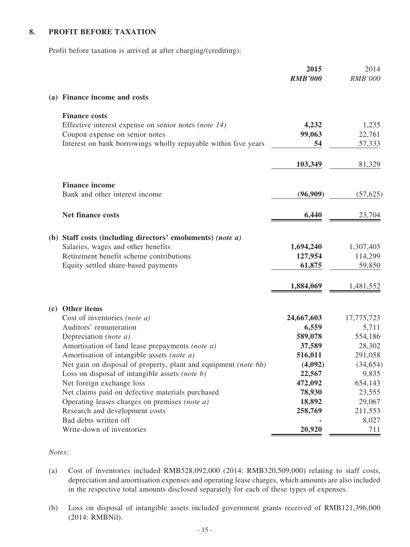### **8. PROFIT BEFORE TAXATION**

Profit before taxation is arrived at after charging/(crediting):

|     |                                                                 | 2015<br><b>RMB'000</b> | 2014<br><b>RMB'000</b> |
|-----|-----------------------------------------------------------------|------------------------|------------------------|
|     | (a) Finance income and costs                                    |                        |                        |
|     | <b>Finance costs</b>                                            |                        |                        |
|     | Effective interest expense on senior notes (note 14)            | 4,232                  | 1,235                  |
|     | Coupon expense on senior notes                                  | 99,063                 | 22,761                 |
|     | Interest on bank borrowings wholly repayable within five years  | 54                     | 57,333                 |
|     |                                                                 | 103,349                | 81,329                 |
|     | <b>Finance income</b>                                           |                        |                        |
|     | Bank and other interest income                                  | (96,909)               | (57, 625)              |
|     | Net finance costs                                               | 6,440                  | 23,704                 |
|     | (b) Staff costs (including directors' emoluments) (note a)      |                        |                        |
|     | Salaries, wages and other benefits                              | 1,694,240              | 1,307,403              |
|     | Retirement benefit scheme contributions                         | 127,954                | 114,299                |
|     | Equity settled share-based payments                             | 61,875                 | 59,850                 |
|     |                                                                 | 1,884,069              | 1,481,552              |
| (c) | Other items                                                     |                        |                        |
|     | Cost of inventories (note a)                                    | 24,667,603             | 17,775,723             |
|     | Auditors' remuneration                                          | 6,559                  | 5,711                  |
|     | Depreciation (note a)                                           | 589,078                | 554,186                |
|     | Amortisation of land lease prepayments (note a)                 | 37,589                 | 28,302                 |
|     | Amortisation of intangible assets (note a)                      | 516,011                | 291,058                |
|     | Net gain on disposal of property, plant and equipment (note 6b) | (4,092)                | (34, 654)              |
|     | Loss on disposal of intangible assets (note b)                  | 22,567                 | 9,835                  |
|     | Net foreign exchange loss                                       | 472,092                | 654,143                |
|     | Net claims paid on defective materials purchased                | 78,930                 | 23,555                 |
|     | Operating leases charges on premises <i>(note a)</i>            | 18,892                 | 29,067                 |
|     | Research and development costs                                  | 258,769                | 211,553                |
|     | Bad debts written off                                           |                        | 8,027                  |
|     | Write-down of inventories                                       | 20,920                 | 711                    |

#### *Notes:*

- (a) Cost of inventories included RMB528,092,000 (2014: RMB320,509,000) relating to staff costs, depreciation and amortisation expenses and operating lease charges, which amounts are also included in the respective total amounts disclosed separately for each of these types of expenses.
- (b) Loss on disposal of intangible assets included government grants received of RMB121,396,000 (2014: RMBNil).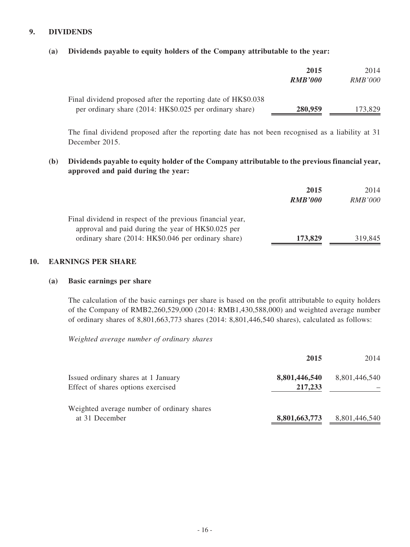### **9. DIVIDENDS**

|  |  | (a) Dividends payable to equity holders of the Company attributable to the year: |
|--|--|----------------------------------------------------------------------------------|
|  |  |                                                                                  |

|                                                                                                                          | 2015<br><b>RMB'000</b> | 2014<br><i>RMB'000</i> |
|--------------------------------------------------------------------------------------------------------------------------|------------------------|------------------------|
| Final dividend proposed after the reporting date of HK\$0.038<br>per ordinary share (2014: HK\$0.025 per ordinary share) | 280,959                | 173,829                |

The final dividend proposed after the reporting date has not been recognised as a liability at 31 December 2015.

**(b) Dividends payable to equity holder of the Company attributable to the previous financial year, approved and paid during the year:**

|                                                                                                                 | 2015<br><b>RMB'000</b> | 2014<br><i>RMB'000</i> |
|-----------------------------------------------------------------------------------------------------------------|------------------------|------------------------|
| Final dividend in respect of the previous financial year,<br>approval and paid during the year of HK\$0.025 per |                        |                        |
| ordinary share (2014: HK\$0.046 per ordinary share)                                                             | 173,829                | 319,845                |

#### **10. EARNINGS PER SHARE**

#### **(a) Basic earnings per share**

The calculation of the basic earnings per share is based on the profit attributable to equity holders of the Company of RMB2,260,529,000 (2014: RMB1,430,588,000) and weighted average number of ordinary shares of 8,801,663,773 shares (2014: 8,801,446,540 shares), calculated as follows:

*Weighted average number of ordinary shares*

|                                                                           | 2015                     | 2014          |
|---------------------------------------------------------------------------|--------------------------|---------------|
| Issued ordinary shares at 1 January<br>Effect of shares options exercised | 8,801,446,540<br>217,233 | 8,801,446,540 |
| Weighted average number of ordinary shares<br>at 31 December              | 8,801,663,773            | 8,801,446,540 |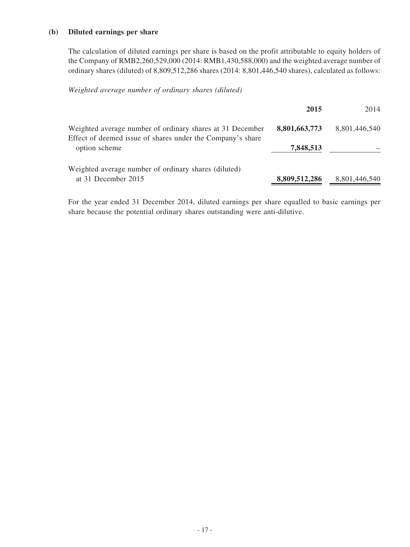#### **(b) Diluted earnings per share**

The calculation of diluted earnings per share is based on the profit attributable to equity holders of the Company of RMB2,260,529,000 (2014: RMB1,430,588,000) and the weighted average number of ordinary shares (diluted) of 8,809,512,286 shares (2014: 8,801,446,540 shares), calculated as follows:

*Weighted average number of ordinary shares (diluted)*

|                                                                                                                         | 2015          | 2014          |
|-------------------------------------------------------------------------------------------------------------------------|---------------|---------------|
| Weighted average number of ordinary shares at 31 December<br>Effect of deemed issue of shares under the Company's share | 8,801,663,773 | 8,801,446,540 |
| option scheme                                                                                                           | 7,848,513     |               |
| Weighted average number of ordinary shares (diluted)                                                                    |               |               |
| at 31 December 2015                                                                                                     | 8,809,512,286 | 8,801,446,540 |

For the year ended 31 December 2014, diluted earnings per share equalled to basic earnings per share because the potential ordinary shares outstanding were anti-dilutive.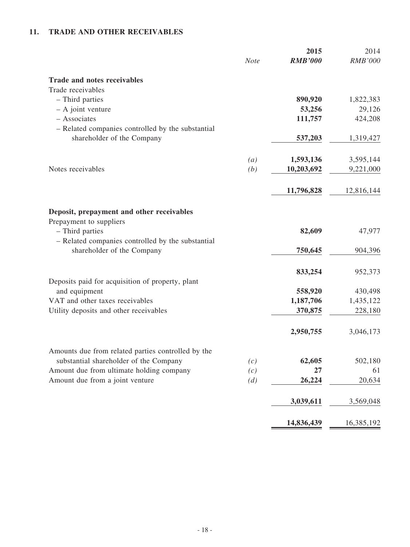# **11. TRADE AND OTHER RECEIVABLES**

|                                                                                 | <b>Note</b> | 2015<br><b>RMB'000</b> | 2014<br><b>RMB'000</b> |
|---------------------------------------------------------------------------------|-------------|------------------------|------------------------|
| <b>Trade and notes receivables</b>                                              |             |                        |                        |
| Trade receivables                                                               |             |                        |                        |
| - Third parties                                                                 |             | 890,920                | 1,822,383              |
| $-$ A joint venture                                                             |             | 53,256                 | 29,126                 |
| - Associates                                                                    |             | 111,757                | 424,208                |
| - Related companies controlled by the substantial                               |             |                        |                        |
| shareholder of the Company                                                      |             | 537,203                | 1,319,427              |
|                                                                                 | (a)         | 1,593,136              | 3,595,144              |
| Notes receivables                                                               | (b)         | 10,203,692             | 9,221,000              |
|                                                                                 |             | 11,796,828             | 12,816,144             |
|                                                                                 |             |                        |                        |
| Deposit, prepayment and other receivables                                       |             |                        |                        |
| Prepayment to suppliers                                                         |             |                        |                        |
| - Third parties                                                                 |             | 82,609                 | 47,977                 |
| - Related companies controlled by the substantial<br>shareholder of the Company |             | 750,645                | 904,396                |
|                                                                                 |             |                        |                        |
|                                                                                 |             | 833,254                | 952,373                |
| Deposits paid for acquisition of property, plant                                |             |                        |                        |
| and equipment                                                                   |             | 558,920                | 430,498                |
| VAT and other taxes receivables                                                 |             | 1,187,706              | 1,435,122              |
| Utility deposits and other receivables                                          |             | 370,875                | 228,180                |
|                                                                                 |             | 2,950,755              | 3,046,173              |
| Amounts due from related parties controlled by the                              |             |                        |                        |
| substantial shareholder of the Company                                          | (c)         | 62,605                 | 502,180                |
| Amount due from ultimate holding company                                        | (c)         | 27                     | 61                     |
| Amount due from a joint venture                                                 | (d)         | 26,224                 | 20,634                 |
|                                                                                 |             | 3,039,611              | 3,569,048              |
|                                                                                 |             | 14,836,439             | 16,385,192             |
|                                                                                 |             |                        |                        |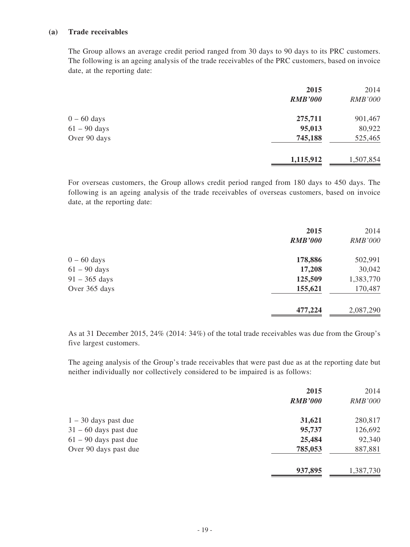#### **(a) Trade receivables**

The Group allows an average credit period ranged from 30 days to 90 days to its PRC customers. The following is an ageing analysis of the trade receivables of the PRC customers, based on invoice date, at the reporting date:

|                | 2015           | 2014           |
|----------------|----------------|----------------|
|                | <b>RMB'000</b> | <b>RMB'000</b> |
| $0 - 60$ days  | 275,711        | 901,467        |
| $61 - 90$ days | 95,013         | 80,922         |
| Over 90 days   | 745,188        | 525,465        |
|                | 1,115,912      | 1,507,854      |

For overseas customers, the Group allows credit period ranged from 180 days to 450 days. The following is an ageing analysis of the trade receivables of overseas customers, based on invoice date, at the reporting date:

|                 | 2015           | 2014           |
|-----------------|----------------|----------------|
|                 | <b>RMB'000</b> | <b>RMB'000</b> |
| $0 - 60$ days   | 178,886        | 502,991        |
| $61 - 90$ days  | 17,208         | 30,042         |
| $91 - 365$ days | 125,509        | 1,383,770      |
| Over 365 days   | 155,621        | 170,487        |
|                 | 477,224        | 2,087,290      |

As at 31 December 2015, 24% (2014: 34%) of the total trade receivables was due from the Group's five largest customers.

The ageing analysis of the Group's trade receivables that were past due as at the reporting date but neither individually nor collectively considered to be impaired is as follows:

|                         | 2015           | 2014           |
|-------------------------|----------------|----------------|
|                         | <b>RMB'000</b> | <b>RMB'000</b> |
| $1 - 30$ days past due  | 31,621         | 280,817        |
| $31 - 60$ days past due | 95,737         | 126,692        |
| $61 - 90$ days past due | 25,484         | 92,340         |
| Over 90 days past due   | 785,053        | 887,881        |
|                         | 937,895        | 1,387,730      |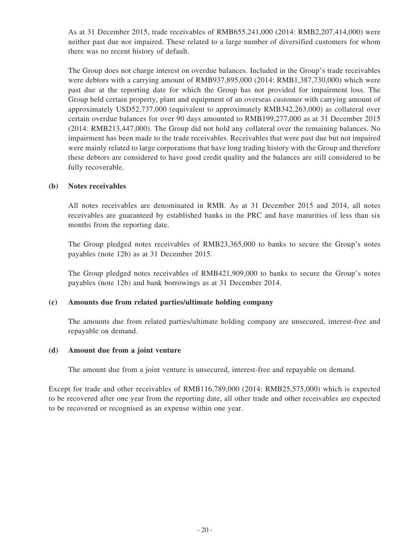As at 31 December 2015, trade receivables of RMB655,241,000 (2014: RMB2,207,414,000) were neither past due nor impaired. These related to a large number of diversified customers for whom there was no recent history of default.

The Group does not charge interest on overdue balances. Included in the Group's trade receivables were debtors with a carrying amount of RMB937,895,000 (2014: RMB1,387,730,000) which were past due at the reporting date for which the Group has not provided for impairment loss. The Group held certain property, plant and equipment of an overseas customer with carrying amount of approximately USD52,737,000 (equivalent to approximately RMB342,263,000) as collateral over certain overdue balances for over 90 days amounted to RMB199,277,000 as at 31 December 2015 (2014: RMB213,447,000). The Group did not hold any collateral over the remaining balances. No impairment has been made to the trade receivables. Receivables that were past due but not impaired were mainly related to large corporations that have long trading history with the Group and therefore these debtors are considered to have good credit quality and the balances are still considered to be fully recoverable.

#### **(b) Notes receivables**

All notes receivables are denominated in RMB. As at 31 December 2015 and 2014, all notes receivables are guaranteed by established banks in the PRC and have maturities of less than six months from the reporting date.

The Group pledged notes receivables of RMB23,365,000 to banks to secure the Group's notes payables (note 12b) as at 31 December 2015.

The Group pledged notes receivables of RMB421,909,000 to banks to secure the Group's notes payables (note 12b) and bank borrowings as at 31 December 2014.

#### **(c) Amounts due from related parties/ultimate holding company**

The amounts due from related parties/ultimate holding company are unsecured, interest-free and repayable on demand.

#### **(d) Amount due from a joint venture**

The amount due from a joint venture is unsecured, interest-free and repayable on demand.

Except for trade and other receivables of RMB116,789,000 (2014: RMB25,575,000) which is expected to be recovered after one year from the reporting date, all other trade and other receivables are expected to be recovered or recognised as an expense within one year.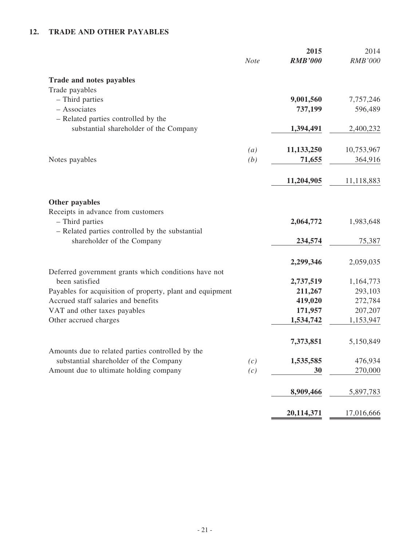# **12. TRADE AND OTHER PAYABLES**

|                                                                                            | 2015<br><b>RMB'000</b><br><b>Note</b> | 2014<br><b>RMB'000</b> |
|--------------------------------------------------------------------------------------------|---------------------------------------|------------------------|
| <b>Trade and notes payables</b>                                                            |                                       |                        |
| Trade payables                                                                             |                                       |                        |
| - Third parties                                                                            | 9,001,560                             | 7,757,246              |
| - Associates                                                                               | 737,199                               | 596,489                |
| - Related parties controlled by the<br>substantial shareholder of the Company              | 1,394,491                             | 2,400,232              |
|                                                                                            |                                       |                        |
|                                                                                            | 11,133,250<br>(a)                     | 10,753,967             |
| Notes payables                                                                             | (b)<br>71,655                         | 364,916                |
|                                                                                            | 11,204,905                            | 11,118,883             |
| Other payables                                                                             |                                       |                        |
| Receipts in advance from customers<br>- Third parties                                      | 2,064,772                             | 1,983,648              |
| - Related parties controlled by the substantial<br>shareholder of the Company              | 234,574                               | 75,387                 |
|                                                                                            | 2,299,346                             | 2,059,035              |
| Deferred government grants which conditions have not                                       |                                       |                        |
| been satisfied                                                                             | 2,737,519                             | 1,164,773              |
| Payables for acquisition of property, plant and equipment                                  | 211,267                               | 293,103                |
| Accrued staff salaries and benefits                                                        | 419,020                               | 272,784                |
| VAT and other taxes payables                                                               | 171,957                               | 207,207                |
| Other accrued charges                                                                      | 1,534,742                             | 1,153,947              |
|                                                                                            | 7,373,851                             | 5,150,849              |
| Amounts due to related parties controlled by the<br>substantial shareholder of the Company | 1,535,585                             | 476,934                |
| Amount due to ultimate holding company                                                     | (c)<br>(c)<br>30                      | 270,000                |
|                                                                                            |                                       |                        |
|                                                                                            | 8,909,466                             | 5,897,783              |
|                                                                                            | 20,114,371                            | 17,016,666             |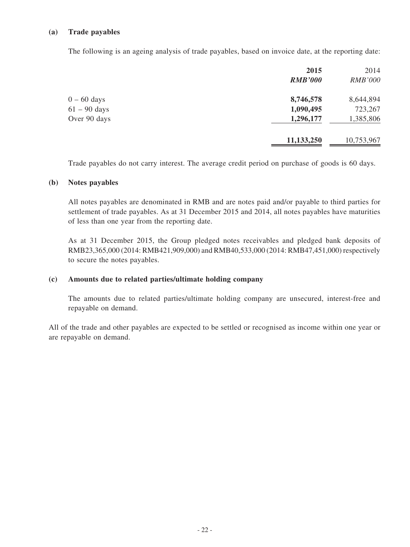#### **(a) Trade payables**

The following is an ageing analysis of trade payables, based on invoice date, at the reporting date:

| 2015           | 2014           |
|----------------|----------------|
| <b>RMB'000</b> | <b>RMB'000</b> |
| 8,746,578      | 8,644,894      |
| 1,090,495      | 723,267        |
| 1,296,177      | 1,385,806      |
| 11,133,250     | 10,753,967     |
|                |                |

Trade payables do not carry interest. The average credit period on purchase of goods is 60 days.

#### **(b) Notes payables**

All notes payables are denominated in RMB and are notes paid and/or payable to third parties for settlement of trade payables. As at 31 December 2015 and 2014, all notes payables have maturities of less than one year from the reporting date.

As at 31 December 2015, the Group pledged notes receivables and pledged bank deposits of RMB23,365,000 (2014: RMB421,909,000) and RMB40,533,000 (2014: RMB47,451,000) respectively to secure the notes payables.

#### **(c) Amounts due to related parties/ultimate holding company**

The amounts due to related parties/ultimate holding company are unsecured, interest-free and repayable on demand.

All of the trade and other payables are expected to be settled or recognised as income within one year or are repayable on demand.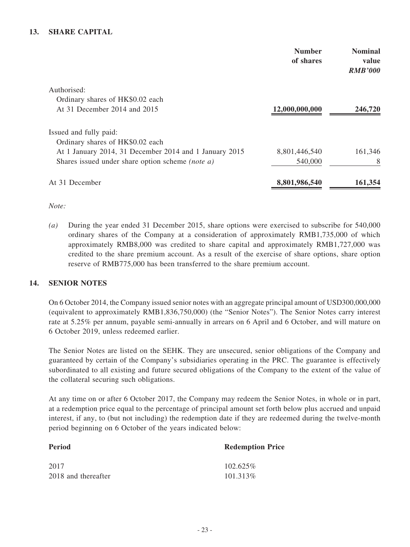## **13. SHARE CAPITAL**

| <b>Number</b><br>of shares | <b>Nominal</b><br>value<br><b>RMB'000</b> |
|----------------------------|-------------------------------------------|
|                            |                                           |
|                            |                                           |
| 12,000,000,000             | 246,720                                   |
|                            |                                           |
|                            |                                           |
| 8,801,446,540              | 161,346                                   |
| 540,000                    | 8                                         |
| 8,801,986,540              | 161,354                                   |
|                            |                                           |

*Note:* 

*(a)* During the year ended 31 December 2015, share options were exercised to subscribe for 540,000 ordinary shares of the Company at a consideration of approximately RMB1,735,000 of which approximately RMB8,000 was credited to share capital and approximately RMB1,727,000 was credited to the share premium account. As a result of the exercise of share options, share option reserve of RMB775,000 has been transferred to the share premium account.

#### **14. SENIOR NOTES**

On 6 October 2014, the Company issued senior notes with an aggregate principal amount of USD300,000,000 (equivalent to approximately RMB1,836,750,000) (the "Senior Notes"). The Senior Notes carry interest rate at 5.25% per annum, payable semi-annually in arrears on 6 April and 6 October, and will mature on 6 October 2019, unless redeemed earlier.

The Senior Notes are listed on the SEHK. They are unsecured, senior obligations of the Company and guaranteed by certain of the Company's subsidiaries operating in the PRC. The guarantee is effectively subordinated to all existing and future secured obligations of the Company to the extent of the value of the collateral securing such obligations.

At any time on or after 6 October 2017, the Company may redeem the Senior Notes, in whole or in part, at a redemption price equal to the percentage of principal amount set forth below plus accrued and unpaid interest, if any, to (but not including) the redemption date if they are redeemed during the twelve-month period beginning on 6 October of the years indicated below:

| <b>Period</b>       | <b>Redemption Price</b> |
|---------------------|-------------------------|
| 2017                | $102.625\%$             |
| 2018 and thereafter | 101.313\%               |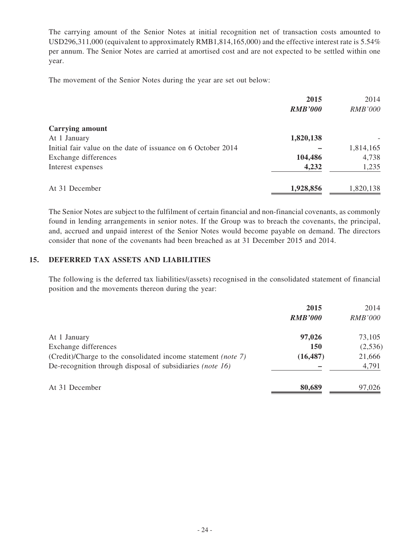The carrying amount of the Senior Notes at initial recognition net of transaction costs amounted to USD296,311,000 (equivalent to approximately RMB1,814,165,000) and the effective interest rate is 5.54% per annum. The Senior Notes are carried at amortised cost and are not expected to be settled within one year.

The movement of the Senior Notes during the year are set out below:

|                                                              | 2015           | 2014           |
|--------------------------------------------------------------|----------------|----------------|
|                                                              | <b>RMB'000</b> | <b>RMB'000</b> |
| <b>Carrying amount</b>                                       |                |                |
| At 1 January                                                 | 1,820,138      |                |
| Initial fair value on the date of issuance on 6 October 2014 |                | 1,814,165      |
| Exchange differences                                         | 104,486        | 4,738          |
| Interest expenses                                            | 4,232          | 1,235          |
| At 31 December                                               | 1,928,856      | 1,820,138      |

The Senior Notes are subject to the fulfilment of certain financial and non-financial covenants, as commonly found in lending arrangements in senior notes. If the Group was to breach the covenants, the principal, and, accrued and unpaid interest of the Senior Notes would become payable on demand. The directors consider that none of the covenants had been breached as at 31 December 2015 and 2014.

## **15. DEFERRED TAX ASSETS AND LIABILITIES**

The following is the deferred tax liabilities/(assets) recognised in the consolidated statement of financial position and the movements thereon during the year:

|                                                                      | 2015           | 2014           |
|----------------------------------------------------------------------|----------------|----------------|
|                                                                      | <b>RMB'000</b> | <b>RMB'000</b> |
| At 1 January                                                         | 97,026         | 73,105         |
| Exchange differences                                                 | <b>150</b>     | (2,536)        |
| (Credit)/Charge to the consolidated income statement <i>(note 7)</i> | (16, 487)      | 21,666         |
| De-recognition through disposal of subsidiaries (note 16)            |                | 4,791          |
| At 31 December                                                       | 80,689         | 97,026         |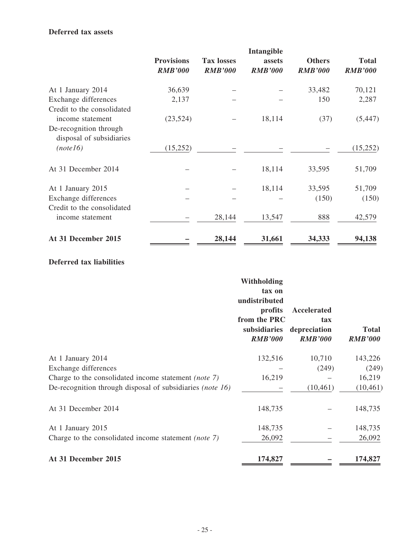#### **Deferred tax assets**

|                                                    | <b>Provisions</b><br><b>RMB'000</b> | <b>Tax losses</b><br><b>RMB'000</b> | Intangible<br>assets<br><b>RMB'000</b> | <b>Others</b><br><b>RMB'000</b> | <b>Total</b><br><b>RMB'000</b> |
|----------------------------------------------------|-------------------------------------|-------------------------------------|----------------------------------------|---------------------------------|--------------------------------|
| At 1 January 2014                                  | 36,639                              |                                     |                                        | 33,482                          | 70,121                         |
| Exchange differences<br>Credit to the consolidated | 2,137                               |                                     |                                        | 150                             | 2,287                          |
| income statement<br>De-recognition through         | (23,524)                            |                                     | 18,114                                 | (37)                            | (5, 447)                       |
| disposal of subsidiaries<br>(note16)               | (15,252)                            |                                     |                                        |                                 | (15,252)                       |
| At 31 December 2014                                |                                     |                                     | 18,114                                 | 33,595                          | 51,709                         |
| At 1 January 2015                                  |                                     |                                     | 18,114                                 | 33,595                          | 51,709                         |
| Exchange differences<br>Credit to the consolidated |                                     |                                     |                                        | (150)                           | (150)                          |
| income statement                                   |                                     | 28,144                              | 13,547                                 | 888                             | 42,579                         |
| At 31 December 2015                                |                                     | 28,144                              | 31,661                                 | 34,333                          | 94,138                         |

#### **Deferred tax liabilities**

|                                                           | Withholding<br>tax on<br>undistributed<br>profits<br>from the PRC<br>subsidiaries<br><b>RMB'000</b> | Accelerated<br>tax<br>depreciation<br><b>RMB'000</b> | <b>Total</b><br><b>RMB'000</b> |
|-----------------------------------------------------------|-----------------------------------------------------------------------------------------------------|------------------------------------------------------|--------------------------------|
| At 1 January 2014                                         | 132,516                                                                                             | 10,710                                               | 143,226                        |
| Exchange differences                                      |                                                                                                     | (249)                                                | (249)                          |
| Charge to the consolidated income statement (note 7)      | 16,219                                                                                              |                                                      | 16,219                         |
| De-recognition through disposal of subsidiaries (note 16) |                                                                                                     | (10, 461)                                            | (10, 461)                      |
| At 31 December 2014                                       | 148,735                                                                                             |                                                      | 148,735                        |
| At 1 January 2015                                         | 148,735                                                                                             |                                                      | 148,735                        |
| Charge to the consolidated income statement (note 7)      | 26,092                                                                                              |                                                      | 26,092                         |
| At 31 December 2015                                       | 174,827                                                                                             |                                                      | 174,827                        |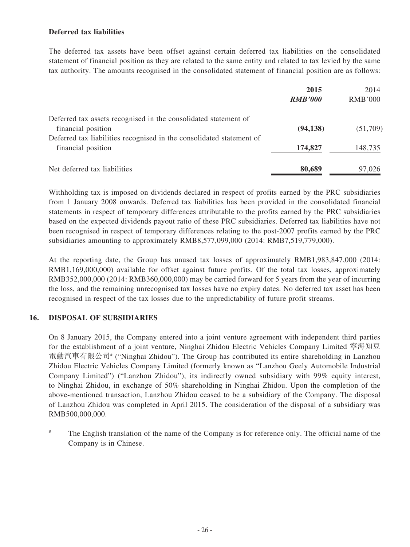### **Deferred tax liabilities**

The deferred tax assets have been offset against certain deferred tax liabilities on the consolidated statement of financial position as they are related to the same entity and related to tax levied by the same tax authority. The amounts recognised in the consolidated statement of financial position are as follows:

|                                                                      | 2015           | 2014           |
|----------------------------------------------------------------------|----------------|----------------|
|                                                                      | <b>RMB'000</b> | <b>RMB'000</b> |
| Deferred tax assets recognised in the consolidated statement of      |                |                |
| financial position                                                   | (94, 138)      | (51,709)       |
| Deferred tax liabilities recognised in the consolidated statement of |                |                |
| financial position                                                   | 174,827        | 148,735        |
| Net deferred tax liabilities                                         | 80,689         | 97,026         |

Withholding tax is imposed on dividends declared in respect of profits earned by the PRC subsidiaries from 1 January 2008 onwards. Deferred tax liabilities has been provided in the consolidated financial statements in respect of temporary differences attributable to the profits earned by the PRC subsidiaries based on the expected dividends payout ratio of these PRC subsidiaries. Deferred tax liabilities have not been recognised in respect of temporary differences relating to the post-2007 profits earned by the PRC subsidiaries amounting to approximately RMB8,577,099,000 (2014: RMB7,519,779,000).

At the reporting date, the Group has unused tax losses of approximately RMB1,983,847,000 (2014: RMB1,169,000,000) available for offset against future profits. Of the total tax losses, approximately RMB352,000,000 (2014: RMB360,000,000) may be carried forward for 5 years from the year of incurring the loss, and the remaining unrecognised tax losses have no expiry dates. No deferred tax asset has been recognised in respect of the tax losses due to the unpredictability of future profit streams.

# **16. DISPOSAL OF SUBSIDIARIES**

On 8 January 2015, the Company entered into a joint venture agreement with independent third parties for the establishment of a joint venture, Ninghai Zhidou Electric Vehicles Company Limited 寧海知豆 電動汽車有限公司# ("Ninghai Zhidou"). The Group has contributed its entire shareholding in Lanzhou Zhidou Electric Vehicles Company Limited (formerly known as "Lanzhou Geely Automobile Industrial Company Limited") ("Lanzhou Zhidou"), its indirectly owned subsidiary with 99% equity interest, to Ninghai Zhidou, in exchange of 50% shareholding in Ninghai Zhidou. Upon the completion of the above-mentioned transaction, Lanzhou Zhidou ceased to be a subsidiary of the Company. The disposal of Lanzhou Zhidou was completed in April 2015. The consideration of the disposal of a subsidiary was RMB500,000,000.

The English translation of the name of the Company is for reference only. The official name of the Company is in Chinese.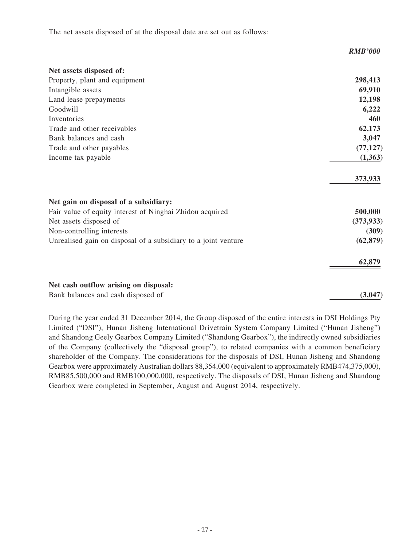The net assets disposed of at the disposal date are set out as follows:

|                                                                | <b>RMB'000</b> |
|----------------------------------------------------------------|----------------|
| Net assets disposed of:                                        |                |
| Property, plant and equipment                                  | 298,413        |
| Intangible assets                                              | 69,910         |
| Land lease prepayments                                         | 12,198         |
| Goodwill                                                       | 6,222          |
| Inventories                                                    | 460            |
| Trade and other receivables                                    | 62,173         |
| Bank balances and cash                                         | 3,047          |
| Trade and other payables                                       | (77, 127)      |
| Income tax payable                                             | (1,363)        |
|                                                                | 373,933        |
| Net gain on disposal of a subsidiary:                          |                |
| Fair value of equity interest of Ninghai Zhidou acquired       | 500,000        |
| Net assets disposed of                                         | (373, 933)     |
| Non-controlling interests                                      | (309)          |
| Unrealised gain on disposal of a subsidiary to a joint venture | (62, 879)      |
|                                                                | 62,879         |
| Net cash outflow arising on disposal:                          |                |
| Bank balances and cash disposed of                             | (3,047)        |

During the year ended 31 December 2014, the Group disposed of the entire interests in DSI Holdings Pty Limited ("DSI"), Hunan Jisheng International Drivetrain System Company Limited ("Hunan Jisheng") and Shandong Geely Gearbox Company Limited ("Shandong Gearbox"), the indirectly owned subsidiaries of the Company (collectively the "disposal group"), to related companies with a common beneficiary shareholder of the Company. The considerations for the disposals of DSI, Hunan Jisheng and Shandong Gearbox were approximately Australian dollars 88,354,000 (equivalent to approximately RMB474,375,000), RMB85,500,000 and RMB100,000,000, respectively. The disposals of DSI, Hunan Jisheng and Shandong Gearbox were completed in September, August and August 2014, respectively.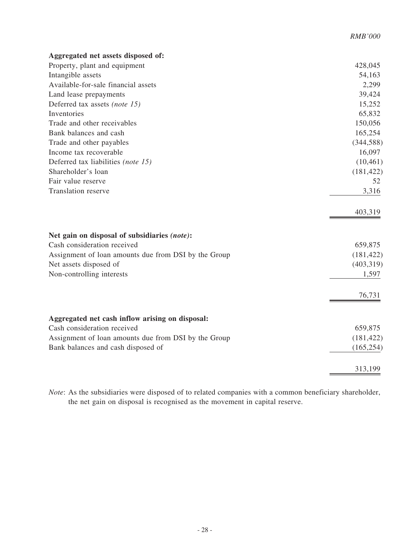| Aggregated net assets disposed of:                                          |                    |
|-----------------------------------------------------------------------------|--------------------|
| Property, plant and equipment                                               | 428,045            |
| Intangible assets                                                           | 54,163             |
| Available-for-sale financial assets                                         | 2,299              |
| Land lease prepayments                                                      | 39,424             |
| Deferred tax assets (note 15)                                               | 15,252             |
| Inventories                                                                 | 65,832             |
| Trade and other receivables                                                 | 150,056            |
| Bank balances and cash                                                      | 165,254            |
| Trade and other payables                                                    | (344, 588)         |
| Income tax recoverable                                                      | 16,097             |
| Deferred tax liabilities (note 15)                                          | (10, 461)          |
| Shareholder's loan                                                          | (181, 422)         |
| Fair value reserve                                                          | 52                 |
| <b>Translation reserve</b>                                                  | 3,316              |
|                                                                             |                    |
|                                                                             | 403,319            |
|                                                                             |                    |
|                                                                             |                    |
| Net gain on disposal of subsidiaries (note):<br>Cash consideration received | 659,875            |
|                                                                             |                    |
| Assignment of loan amounts due from DSI by the Group                        | (181, 422)         |
| Net assets disposed of                                                      | (403,319)<br>1,597 |
| Non-controlling interests                                                   |                    |
|                                                                             | 76,731             |
|                                                                             |                    |
|                                                                             |                    |
| Aggregated net cash inflow arising on disposal:                             |                    |
| Cash consideration received                                                 | 659,875            |
| Assignment of loan amounts due from DSI by the Group                        | (181, 422)         |
| Bank balances and cash disposed of                                          | (165, 254)         |
|                                                                             | 313,199            |
|                                                                             |                    |

*RMB'000*

*Note*: As the subsidiaries were disposed of to related companies with a common beneficiary shareholder, the net gain on disposal is recognised as the movement in capital reserve.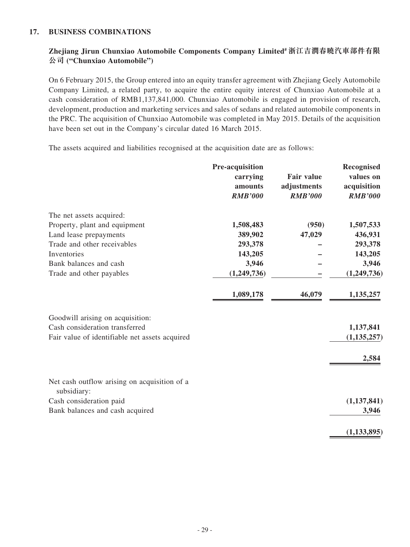#### **17. BUSINESS COMBINATIONS**

# **Zhejiang Jirun Chunxiao Automobile Components Company Limited# 浙江吉潤春曉汽車部件有限 公司 ("Chunxiao Automobile")**

On 6 February 2015, the Group entered into an equity transfer agreement with Zhejiang Geely Automobile Company Limited, a related party, to acquire the entire equity interest of Chunxiao Automobile at a cash consideration of RMB1,137,841,000. Chunxiao Automobile is engaged in provision of research, development, production and marketing services and sales of sedans and related automobile components in the PRC. The acquisition of Chunxiao Automobile was completed in May 2015. Details of the acquisition have been set out in the Company's circular dated 16 March 2015.

The assets acquired and liabilities recognised at the acquisition date are as follows:

|                                                             | Pre-acquisition |                   | Recognised     |
|-------------------------------------------------------------|-----------------|-------------------|----------------|
|                                                             | carrying        | <b>Fair value</b> | values on      |
|                                                             | amounts         | adjustments       | acquisition    |
|                                                             | <b>RMB'000</b>  | <b>RMB'000</b>    | <b>RMB'000</b> |
| The net assets acquired:                                    |                 |                   |                |
| Property, plant and equipment                               | 1,508,483       | (950)             | 1,507,533      |
| Land lease prepayments                                      | 389,902         | 47,029            | 436,931        |
| Trade and other receivables                                 | 293,378         |                   | 293,378        |
| Inventories                                                 | 143,205         |                   | 143,205        |
| Bank balances and cash                                      | 3,946           |                   | 3,946          |
| Trade and other payables                                    | (1,249,736)     |                   | (1,249,736)    |
|                                                             | 1,089,178       | 46,079            | 1,135,257      |
| Goodwill arising on acquisition:                            |                 |                   |                |
| Cash consideration transferred                              |                 |                   | 1,137,841      |
| Fair value of identifiable net assets acquired              |                 |                   | (1, 135, 257)  |
|                                                             |                 |                   | 2,584          |
| Net cash outflow arising on acquisition of a<br>subsidiary: |                 |                   |                |
| Cash consideration paid                                     |                 |                   | (1, 137, 841)  |
| Bank balances and cash acquired                             |                 |                   | 3,946          |
|                                                             |                 |                   | (1, 133, 895)  |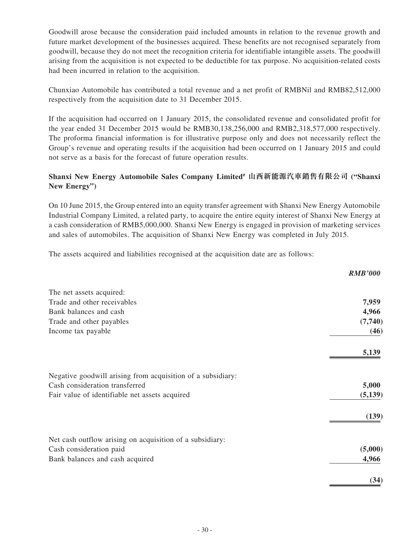Goodwill arose because the consideration paid included amounts in relation to the revenue growth and future market development of the businesses acquired. These benefits are not recognised separately from goodwill, because they do not meet the recognition criteria for identifiable intangible assets. The goodwill arising from the acquisition is not expected to be deductible for tax purpose. No acquisition-related costs had been incurred in relation to the acquisition.

Chunxiao Automobile has contributed a total revenue and a net profit of RMBNil and RMB82,512,000 respectively from the acquisition date to 31 December 2015.

If the acquisition had occurred on 1 January 2015, the consolidated revenue and consolidated profit for the year ended 31 December 2015 would be RMB30,138,256,000 and RMB2,318,577,000 respectively. The proforma financial information is for illustrative purpose only and does not necessarily reflect the Group's revenue and operating results if the acquisition had been occurred on 1 January 2015 and could not serve as a basis for the forecast of future operation results.

## **Shanxi New Energy Automobile Sales Company Limited# 山西新能源汽車銷售有限公司 ("Shanxi New Energy")**

On 10 June 2015, the Group entered into an equity transfer agreement with Shanxi New Energy Automobile Industrial Company Limited, a related party, to acquire the entire equity interest of Shanxi New Energy at a cash consideration of RMB5,000,000. Shanxi New Energy is engaged in provision of marketing services and sales of automobiles. The acquisition of Shanxi New Energy was completed in July 2015.

The assets acquired and liabilities recognised at the acquisition date are as follows:

|                                                             | <b>RMB'000</b> |
|-------------------------------------------------------------|----------------|
| The net assets acquired:                                    |                |
| Trade and other receivables                                 | 7,959          |
| Bank balances and cash                                      | 4,966          |
| Trade and other payables                                    | (7,740)        |
| Income tax payable                                          | (46)           |
|                                                             | 5,139          |
| Negative goodwill arising from acquisition of a subsidiary: |                |
| Cash consideration transferred                              | 5,000          |
| Fair value of identifiable net assets acquired              | (5,139)        |
|                                                             | (139)          |
| Net cash outflow arising on acquisition of a subsidiary:    |                |
| Cash consideration paid                                     | (5,000)        |
| Bank balances and cash acquired                             | 4,966          |
|                                                             | (34)           |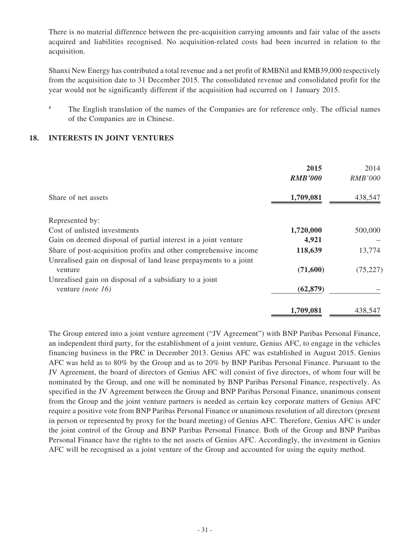There is no material difference between the pre-acquisition carrying amounts and fair value of the assets acquired and liabilities recognised. No acquisition-related costs had been incurred in relation to the acquisition.

Shanxi New Energy has contributed a total revenue and a net profit of RMBNil and RMB39,000 respectively from the acquisition date to 31 December 2015. The consolidated revenue and consolidated profit for the year would not be significantly different if the acquisition had occurred on 1 January 2015.

# The English translation of the names of the Companies are for reference only. The official names of the Companies are in Chinese.

### **18. INTERESTS IN JOINT VENTURES**

|                                                                  | 2015<br><b>RMB'000</b> | 2014<br><b>RMB'000</b> |
|------------------------------------------------------------------|------------------------|------------------------|
| Share of net assets                                              | 1,709,081              | 438,547                |
| Represented by:                                                  |                        |                        |
| Cost of unlisted investments                                     | 1,720,000              | 500,000                |
| Gain on deemed disposal of partial interest in a joint venture   | 4,921                  |                        |
| Share of post-acquisition profits and other comprehensive income | 118,639                | 13,774                 |
| Unrealised gain on disposal of land lease prepayments to a joint |                        |                        |
| venture                                                          | (71,600)               | (75, 227)              |
| Unrealised gain on disposal of a subsidiary to a joint           |                        |                        |
| venture (note 16)                                                | (62, 879)              |                        |
|                                                                  | 1,709,081              | 438,547                |

The Group entered into a joint venture agreement ("JV Agreement") with BNP Paribas Personal Finance, an independent third party, for the establishment of a joint venture, Genius AFC, to engage in the vehicles financing business in the PRC in December 2013. Genius AFC was established in August 2015. Genius AFC was held as to 80% by the Group and as to 20% by BNP Paribas Personal Finance. Pursuant to the JV Agreement, the board of directors of Genius AFC will consist of five directors, of whom four will be nominated by the Group, and one will be nominated by BNP Paribas Personal Finance, respectively. As specified in the JV Agreement between the Group and BNP Paribas Personal Finance, unanimous consent from the Group and the joint venture partners is needed as certain key corporate matters of Genius AFC require a positive vote from BNP Paribas Personal Finance or unanimous resolution of all directors (present in person or represented by proxy for the board meeting) of Genius AFC. Therefore, Genius AFC is under the joint control of the Group and BNP Paribas Personal Finance. Both of the Group and BNP Paribas Personal Finance have the rights to the net assets of Genius AFC. Accordingly, the investment in Genius AFC will be recognised as a joint venture of the Group and accounted for using the equity method.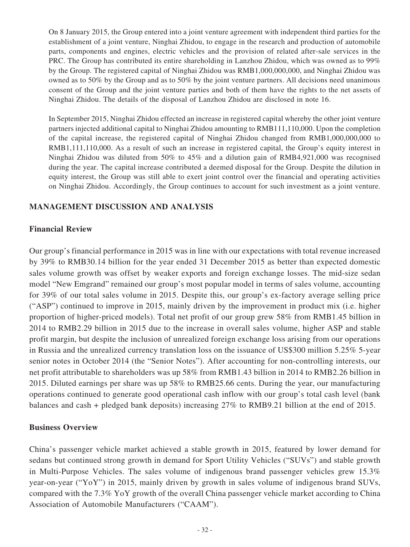On 8 January 2015, the Group entered into a joint venture agreement with independent third parties for the establishment of a joint venture, Ninghai Zhidou, to engage in the research and production of automobile parts, components and engines, electric vehicles and the provision of related after-sale services in the PRC. The Group has contributed its entire shareholding in Lanzhou Zhidou, which was owned as to 99% by the Group. The registered capital of Ninghai Zhidou was RMB1,000,000,000, and Ninghai Zhidou was owned as to 50% by the Group and as to 50% by the joint venture partners. All decisions need unanimous consent of the Group and the joint venture parties and both of them have the rights to the net assets of Ninghai Zhidou. The details of the disposal of Lanzhou Zhidou are disclosed in note 16.

In September 2015, Ninghai Zhidou effected an increase in registered capital whereby the other joint venture partners injected additional capital to Ninghai Zhidou amounting to RMB111,110,000. Upon the completion of the capital increase, the registered capital of Ninghai Zhidou changed from RMB1,000,000,000 to RMB1,111,110,000. As a result of such an increase in registered capital, the Group's equity interest in Ninghai Zhidou was diluted from 50% to 45% and a dilution gain of RMB4,921,000 was recognised during the year. The capital increase contributed a deemed disposal for the Group. Despite the dilution in equity interest, the Group was still able to exert joint control over the financial and operating activities on Ninghai Zhidou. Accordingly, the Group continues to account for such investment as a joint venture.

# **MANAGEMENT DISCUSSION AND ANALYSIS**

# **Financial Review**

Our group's financial performance in 2015 was in line with our expectations with total revenue increased by 39% to RMB30.14 billion for the year ended 31 December 2015 as better than expected domestic sales volume growth was offset by weaker exports and foreign exchange losses. The mid-size sedan model "New Emgrand" remained our group's most popular model in terms of sales volume, accounting for 39% of our total sales volume in 2015. Despite this, our group's ex-factory average selling price ("ASP") continued to improve in 2015, mainly driven by the improvement in product mix (i.e. higher proportion of higher-priced models). Total net profit of our group grew 58% from RMB1.45 billion in 2014 to RMB2.29 billion in 2015 due to the increase in overall sales volume, higher ASP and stable profit margin, but despite the inclusion of unrealized foreign exchange loss arising from our operations in Russia and the unrealized currency translation loss on the issuance of US\$300 million 5.25% 5-year senior notes in October 2014 (the "Senior Notes"). After accounting for non-controlling interests, our net profit attributable to shareholders was up 58% from RMB1.43 billion in 2014 to RMB2.26 billion in 2015. Diluted earnings per share was up 58% to RMB25.66 cents. During the year, our manufacturing operations continued to generate good operational cash inflow with our group's total cash level (bank balances and cash + pledged bank deposits) increasing 27% to RMB9.21 billion at the end of 2015.

### **Business Overview**

China's passenger vehicle market achieved a stable growth in 2015, featured by lower demand for sedans but continued strong growth in demand for Sport Utility Vehicles ("SUVs") and stable growth in Multi-Purpose Vehicles. The sales volume of indigenous brand passenger vehicles grew 15.3% year-on-year ("YoY") in 2015, mainly driven by growth in sales volume of indigenous brand SUVs, compared with the 7.3% YoY growth of the overall China passenger vehicle market according to China Association of Automobile Manufacturers ("CAAM").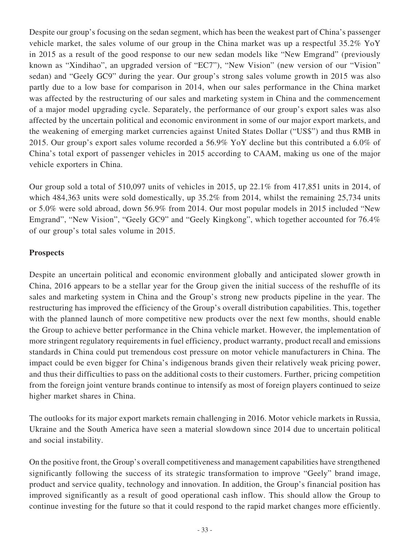Despite our group's focusing on the sedan segment, which has been the weakest part of China's passenger vehicle market, the sales volume of our group in the China market was up a respectful 35.2% YoY in 2015 as a result of the good response to our new sedan models like "New Emgrand" (previously known as "Xindihao", an upgraded version of "EC7"), "New Vision" (new version of our "Vision" sedan) and "Geely GC9" during the year. Our group's strong sales volume growth in 2015 was also partly due to a low base for comparison in 2014, when our sales performance in the China market was affected by the restructuring of our sales and marketing system in China and the commencement of a major model upgrading cycle. Separately, the performance of our group's export sales was also affected by the uncertain political and economic environment in some of our major export markets, and the weakening of emerging market currencies against United States Dollar ("US\$") and thus RMB in 2015. Our group's export sales volume recorded a 56.9% YoY decline but this contributed a 6.0% of China's total export of passenger vehicles in 2015 according to CAAM, making us one of the major vehicle exporters in China.

Our group sold a total of 510,097 units of vehicles in 2015, up 22.1% from 417,851 units in 2014, of which 484,363 units were sold domestically, up 35.2% from 2014, whilst the remaining 25,734 units or 5.0% were sold abroad, down 56.9% from 2014. Our most popular models in 2015 included "New Emgrand", "New Vision", "Geely GC9" and "Geely Kingkong", which together accounted for 76.4% of our group's total sales volume in 2015.

# **Prospects**

Despite an uncertain political and economic environment globally and anticipated slower growth in China, 2016 appears to be a stellar year for the Group given the initial success of the reshuffle of its sales and marketing system in China and the Group's strong new products pipeline in the year. The restructuring has improved the efficiency of the Group's overall distribution capabilities. This, together with the planned launch of more competitive new products over the next few months, should enable the Group to achieve better performance in the China vehicle market. However, the implementation of more stringent regulatory requirements in fuel efficiency, product warranty, product recall and emissions standards in China could put tremendous cost pressure on motor vehicle manufacturers in China. The impact could be even bigger for China's indigenous brands given their relatively weak pricing power, and thus their difficulties to pass on the additional costs to their customers. Further, pricing competition from the foreign joint venture brands continue to intensify as most of foreign players continued to seize higher market shares in China.

The outlooks for its major export markets remain challenging in 2016. Motor vehicle markets in Russia, Ukraine and the South America have seen a material slowdown since 2014 due to uncertain political and social instability.

On the positive front, the Group's overall competitiveness and management capabilities have strengthened significantly following the success of its strategic transformation to improve "Geely" brand image, product and service quality, technology and innovation. In addition, the Group's financial position has improved significantly as a result of good operational cash inflow. This should allow the Group to continue investing for the future so that it could respond to the rapid market changes more efficiently.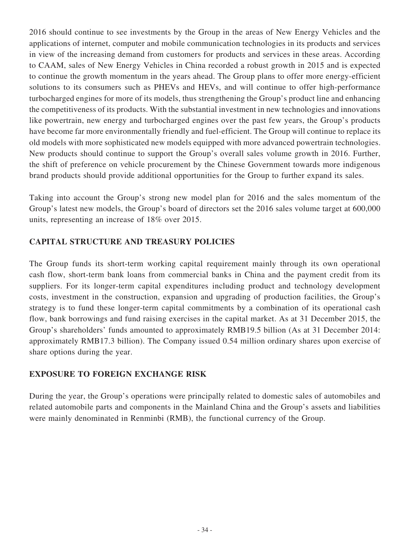2016 should continue to see investments by the Group in the areas of New Energy Vehicles and the applications of internet, computer and mobile communication technologies in its products and services in view of the increasing demand from customers for products and services in these areas. According to CAAM, sales of New Energy Vehicles in China recorded a robust growth in 2015 and is expected to continue the growth momentum in the years ahead. The Group plans to offer more energy-efficient solutions to its consumers such as PHEVs and HEVs, and will continue to offer high-performance turbocharged engines for more of its models, thus strengthening the Group's product line and enhancing the competitiveness of its products. With the substantial investment in new technologies and innovations like powertrain, new energy and turbocharged engines over the past few years, the Group's products have become far more environmentally friendly and fuel-efficient. The Group will continue to replace its old models with more sophisticated new models equipped with more advanced powertrain technologies. New products should continue to support the Group's overall sales volume growth in 2016. Further, the shift of preference on vehicle procurement by the Chinese Government towards more indigenous brand products should provide additional opportunities for the Group to further expand its sales.

Taking into account the Group's strong new model plan for 2016 and the sales momentum of the Group's latest new models, the Group's board of directors set the 2016 sales volume target at 600,000 units, representing an increase of 18% over 2015.

# **CAPITAL STRUCTURE AND TREASURY POLICIES**

The Group funds its short-term working capital requirement mainly through its own operational cash flow, short-term bank loans from commercial banks in China and the payment credit from its suppliers. For its longer-term capital expenditures including product and technology development costs, investment in the construction, expansion and upgrading of production facilities, the Group's strategy is to fund these longer-term capital commitments by a combination of its operational cash flow, bank borrowings and fund raising exercises in the capital market. As at 31 December 2015, the Group's shareholders' funds amounted to approximately RMB19.5 billion (As at 31 December 2014: approximately RMB17.3 billion). The Company issued 0.54 million ordinary shares upon exercise of share options during the year.

# **EXPOSURE TO FOREIGN EXCHANGE RISK**

During the year, the Group's operations were principally related to domestic sales of automobiles and related automobile parts and components in the Mainland China and the Group's assets and liabilities were mainly denominated in Renminbi (RMB), the functional currency of the Group.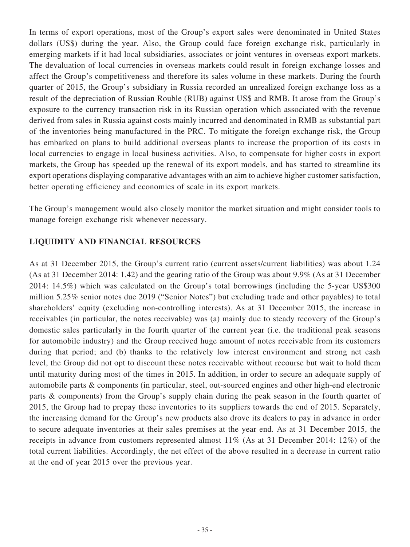In terms of export operations, most of the Group's export sales were denominated in United States dollars (US\$) during the year. Also, the Group could face foreign exchange risk, particularly in emerging markets if it had local subsidiaries, associates or joint ventures in overseas export markets. The devaluation of local currencies in overseas markets could result in foreign exchange losses and affect the Group's competitiveness and therefore its sales volume in these markets. During the fourth quarter of 2015, the Group's subsidiary in Russia recorded an unrealized foreign exchange loss as a result of the depreciation of Russian Rouble (RUB) against US\$ and RMB. It arose from the Group's exposure to the currency transaction risk in its Russian operation which associated with the revenue derived from sales in Russia against costs mainly incurred and denominated in RMB as substantial part of the inventories being manufactured in the PRC. To mitigate the foreign exchange risk, the Group has embarked on plans to build additional overseas plants to increase the proportion of its costs in local currencies to engage in local business activities. Also, to compensate for higher costs in export markets, the Group has speeded up the renewal of its export models, and has started to streamline its export operations displaying comparative advantages with an aim to achieve higher customer satisfaction, better operating efficiency and economies of scale in its export markets.

The Group's management would also closely monitor the market situation and might consider tools to manage foreign exchange risk whenever necessary.

# **LIQUIDITY AND FINANCIAL RESOURCES**

As at 31 December 2015, the Group's current ratio (current assets/current liabilities) was about 1.24 (As at 31 December 2014: 1.42) and the gearing ratio of the Group was about 9.9% (As at 31 December 2014: 14.5%) which was calculated on the Group's total borrowings (including the 5-year US\$300 million 5.25% senior notes due 2019 ("Senior Notes") but excluding trade and other payables) to total shareholders' equity (excluding non-controlling interests). As at 31 December 2015, the increase in receivables (in particular, the notes receivable) was (a) mainly due to steady recovery of the Group's domestic sales particularly in the fourth quarter of the current year (i.e. the traditional peak seasons for automobile industry) and the Group received huge amount of notes receivable from its customers during that period; and (b) thanks to the relatively low interest environment and strong net cash level, the Group did not opt to discount these notes receivable without recourse but wait to hold them until maturity during most of the times in 2015. In addition, in order to secure an adequate supply of automobile parts & components (in particular, steel, out-sourced engines and other high-end electronic parts & components) from the Group's supply chain during the peak season in the fourth quarter of 2015, the Group had to prepay these inventories to its suppliers towards the end of 2015. Separately, the increasing demand for the Group's new products also drove its dealers to pay in advance in order to secure adequate inventories at their sales premises at the year end. As at 31 December 2015, the receipts in advance from customers represented almost 11% (As at 31 December 2014: 12%) of the total current liabilities. Accordingly, the net effect of the above resulted in a decrease in current ratio at the end of year 2015 over the previous year.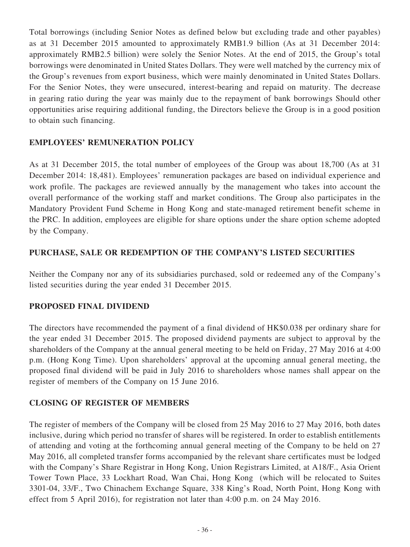Total borrowings (including Senior Notes as defined below but excluding trade and other payables) as at 31 December 2015 amounted to approximately RMB1.9 billion (As at 31 December 2014: approximately RMB2.5 billion) were solely the Senior Notes. At the end of 2015, the Group's total borrowings were denominated in United States Dollars. They were well matched by the currency mix of the Group's revenues from export business, which were mainly denominated in United States Dollars. For the Senior Notes, they were unsecured, interest-bearing and repaid on maturity. The decrease in gearing ratio during the year was mainly due to the repayment of bank borrowings Should other opportunities arise requiring additional funding, the Directors believe the Group is in a good position to obtain such financing.

# **EMPLOYEES' REMUNERATION POLICY**

As at 31 December 2015, the total number of employees of the Group was about 18,700 (As at 31 December 2014: 18,481). Employees' remuneration packages are based on individual experience and work profile. The packages are reviewed annually by the management who takes into account the overall performance of the working staff and market conditions. The Group also participates in the Mandatory Provident Fund Scheme in Hong Kong and state-managed retirement benefit scheme in the PRC. In addition, employees are eligible for share options under the share option scheme adopted by the Company.

# **PURCHASE, SALE OR REDEMPTION OF THE COMPANY'S LISTED SECURITIES**

Neither the Company nor any of its subsidiaries purchased, sold or redeemed any of the Company's listed securities during the year ended 31 December 2015.

# **PROPOSED FINAL DIVIDEND**

The directors have recommended the payment of a final dividend of HK\$0.038 per ordinary share for the year ended 31 December 2015. The proposed dividend payments are subject to approval by the shareholders of the Company at the annual general meeting to be held on Friday, 27 May 2016 at 4:00 p.m. (Hong Kong Time). Upon shareholders' approval at the upcoming annual general meeting, the proposed final dividend will be paid in July 2016 to shareholders whose names shall appear on the register of members of the Company on 15 June 2016.

# **CLOSING OF REGISTER OF MEMBERS**

The register of members of the Company will be closed from 25 May 2016 to 27 May 2016, both dates inclusive, during which period no transfer of shares will be registered. In order to establish entitlements of attending and voting at the forthcoming annual general meeting of the Company to be held on 27 May 2016, all completed transfer forms accompanied by the relevant share certificates must be lodged with the Company's Share Registrar in Hong Kong, Union Registrars Limited, at A18/F., Asia Orient Tower Town Place, 33 Lockhart Road, Wan Chai, Hong Kong (which will be relocated to Suites 3301-04, 33/F., Two Chinachem Exchange Square, 338 King's Road, North Point, Hong Kong with effect from 5 April 2016), for registration not later than 4:00 p.m. on 24 May 2016.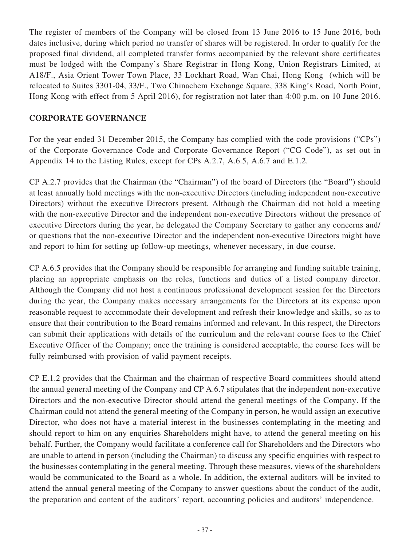The register of members of the Company will be closed from 13 June 2016 to 15 June 2016, both dates inclusive, during which period no transfer of shares will be registered. In order to qualify for the proposed final dividend, all completed transfer forms accompanied by the relevant share certificates must be lodged with the Company's Share Registrar in Hong Kong, Union Registrars Limited, at A18/F., Asia Orient Tower Town Place, 33 Lockhart Road, Wan Chai, Hong Kong (which will be relocated to Suites 3301-04, 33/F., Two Chinachem Exchange Square, 338 King's Road, North Point, Hong Kong with effect from 5 April 2016), for registration not later than 4:00 p.m. on 10 June 2016.

# **CORPORATE GOVERNANCE**

For the year ended 31 December 2015, the Company has complied with the code provisions ("CPs") of the Corporate Governance Code and Corporate Governance Report ("CG Code"), as set out in Appendix 14 to the Listing Rules, except for CPs A.2.7, A.6.5, A.6.7 and E.1.2.

CP A.2.7 provides that the Chairman (the "Chairman") of the board of Directors (the "Board") should at least annually hold meetings with the non-executive Directors (including independent non-executive Directors) without the executive Directors present. Although the Chairman did not hold a meeting with the non-executive Director and the independent non-executive Directors without the presence of executive Directors during the year, he delegated the Company Secretary to gather any concerns and/ or questions that the non-executive Director and the independent non-executive Directors might have and report to him for setting up follow-up meetings, whenever necessary, in due course.

CP A.6.5 provides that the Company should be responsible for arranging and funding suitable training, placing an appropriate emphasis on the roles, functions and duties of a listed company director. Although the Company did not host a continuous professional development session for the Directors during the year, the Company makes necessary arrangements for the Directors at its expense upon reasonable request to accommodate their development and refresh their knowledge and skills, so as to ensure that their contribution to the Board remains informed and relevant. In this respect, the Directors can submit their applications with details of the curriculum and the relevant course fees to the Chief Executive Officer of the Company; once the training is considered acceptable, the course fees will be fully reimbursed with provision of valid payment receipts.

CP E.1.2 provides that the Chairman and the chairman of respective Board committees should attend the annual general meeting of the Company and CP A.6.7 stipulates that the independent non-executive Directors and the non-executive Director should attend the general meetings of the Company. If the Chairman could not attend the general meeting of the Company in person, he would assign an executive Director, who does not have a material interest in the businesses contemplating in the meeting and should report to him on any enquiries Shareholders might have, to attend the general meeting on his behalf. Further, the Company would facilitate a conference call for Shareholders and the Directors who are unable to attend in person (including the Chairman) to discuss any specific enquiries with respect to the businesses contemplating in the general meeting. Through these measures, views of the shareholders would be communicated to the Board as a whole. In addition, the external auditors will be invited to attend the annual general meeting of the Company to answer questions about the conduct of the audit, the preparation and content of the auditors' report, accounting policies and auditors' independence.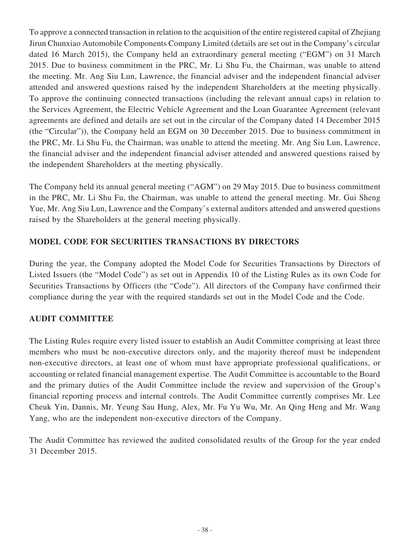To approve a connected transaction in relation to the acquisition of the entire registered capital of Zhejiang Jirun Chunxiao Automobile Components Company Limited (details are set out in the Company's circular dated 16 March 2015), the Company held an extraordinary general meeting ("EGM") on 31 March 2015. Due to business commitment in the PRC, Mr. Li Shu Fu, the Chairman, was unable to attend the meeting. Mr. Ang Siu Lun, Lawrence, the financial adviser and the independent financial adviser attended and answered questions raised by the independent Shareholders at the meeting physically. To approve the continuing connected transactions (including the relevant annual caps) in relation to the Services Agreement, the Electric Vehicle Agreement and the Loan Guarantee Agreement (relevant agreements are defined and details are set out in the circular of the Company dated 14 December 2015 (the "Circular")), the Company held an EGM on 30 December 2015. Due to business commitment in the PRC, Mr. Li Shu Fu, the Chairman, was unable to attend the meeting. Mr. Ang Siu Lun, Lawrence, the financial adviser and the independent financial adviser attended and answered questions raised by the independent Shareholders at the meeting physically.

The Company held its annual general meeting ("AGM") on 29 May 2015. Due to business commitment in the PRC, Mr. Li Shu Fu, the Chairman, was unable to attend the general meeting. Mr. Gui Sheng Yue, Mr. Ang Siu Lun, Lawrence and the Company's external auditors attended and answered questions raised by the Shareholders at the general meeting physically.

# **MODEL CODE FOR SECURITIES TRANSACTIONS BY DIRECTORS**

During the year, the Company adopted the Model Code for Securities Transactions by Directors of Listed Issuers (the "Model Code") as set out in Appendix 10 of the Listing Rules as its own Code for Securities Transactions by Officers (the "Code"). All directors of the Company have confirmed their compliance during the year with the required standards set out in the Model Code and the Code.

# **AUDIT COMMITTEE**

The Listing Rules require every listed issuer to establish an Audit Committee comprising at least three members who must be non-executive directors only, and the majority thereof must be independent non-executive directors, at least one of whom must have appropriate professional qualifications, or accounting or related financial management expertise. The Audit Committee is accountable to the Board and the primary duties of the Audit Committee include the review and supervision of the Group's financial reporting process and internal controls. The Audit Committee currently comprises Mr. Lee Cheuk Yin, Dannis, Mr. Yeung Sau Hung, Alex, Mr. Fu Yu Wu, Mr. An Qing Heng and Mr. Wang Yang, who are the independent non-executive directors of the Company.

The Audit Committee has reviewed the audited consolidated results of the Group for the year ended 31 December 2015.